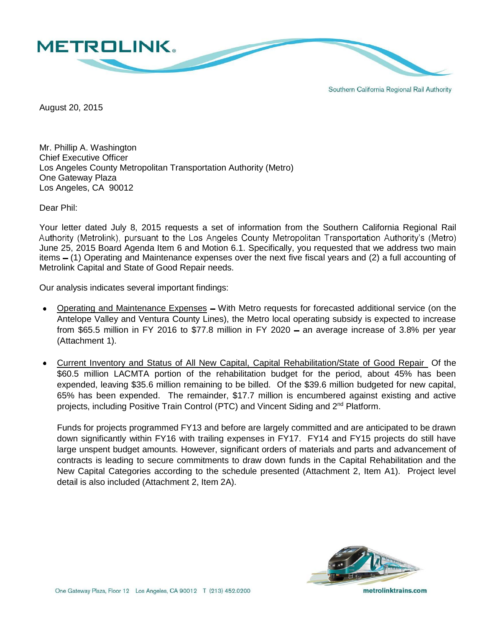

Southern California Regional Rail Authority

August 20, 2015

Mr. Phillip A. Washington Chief Executive Officer Los Angeles County Metropolitan Transportation Authority (Metro) One Gateway Plaza Los Angeles, CA 90012

Dear Phil:

Your letter dated July 8, 2015 requests a set of information from the Southern California Regional Rail<br>Authority (Metrolink), pursuant to the Los Angeles County Metropolitan Transportation Authority's (Metro) June 25, 2015 Board Agenda Item 6 and Motion 6.1. Specifically, you requested that we address two main items – (1) Operating and Maintenance expenses over the next five fiscal years and (2) a full accounting of Metrolink Capital and State of Good Repair needs.

Our analysis indicates several important findings:

- Operating and Maintenance Expenses With Metro requests for forecasted additional service (on the Antelope Valley and Ventura County Lines), the Metro local operating subsidy is expected to increase from \$65.5 million in FY 2016 to \$77.8 million in FY 2020  $-$  an average increase of 3.8% per year (Attachment 1).
- Current Inventory and Status of All New Capital, Capital Rehabilitation/State of Good Repair Of the \$60.5 million LACMTA portion of the rehabilitation budget for the period, about 45% has been expended, leaving \$35.6 million remaining to be billed. Of the \$39.6 million budgeted for new capital, 65% has been expended. The remainder, \$17.7 million is encumbered against existing and active projects, including Positive Train Control (PTC) and Vincent Siding and 2nd Platform.

Funds for projects programmed FY13 and before are largely committed and are anticipated to be drawn down significantly within FY16 with trailing expenses in FY17. FY14 and FY15 projects do still have large unspent budget amounts. However, significant orders of materials and parts and advancement of contracts is leading to secure commitments to draw down funds in the Capital Rehabilitation and the New Capital Categories according to the schedule presented (Attachment 2, Item A1). Project level detail is also included (Attachment 2, Item 2A).



One Gateway Plaza, Floor 12 Los Angeles, CA 90012 T (213) 452.0200

metrolinktrains.com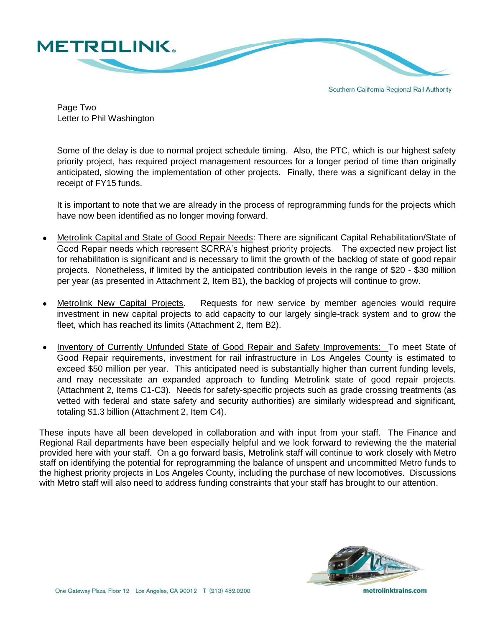

Southern California Regional Rail Authority

Page Two Letter to Phil Washington

Some of the delay is due to normal project schedule timing. Also, the PTC, which is our highest safety priority project, has required project management resources for a longer period of time than originally anticipated, slowing the implementation of other projects. Finally, there was a significant delay in the receipt of FY15 funds.

It is important to note that we are already in the process of reprogramming funds for the projects which have now been identified as no longer moving forward.

- Metrolink Capital and State of Good Repair Needs: There are significant Capital Rehabilitation/State of Good Repair needs which represent SCRRA's highest priority projects. The expected new project list for rehabilitation is significant and is necessary to limit the growth of the backlog of state of good repair projects. Nonetheless, if limited by the anticipated contribution levels in the range of \$20 - \$30 million per year (as presented in Attachment 2, Item B1), the backlog of projects will continue to grow.
- Metrolink New Capital Projects. Requests for new service by member agencies would require investment in new capital projects to add capacity to our largely single-track system and to grow the fleet, which has reached its limits (Attachment 2, Item B2).
- Inventory of Currently Unfunded State of Good Repair and Safety Improvements: To meet State of Good Repair requirements, investment for rail infrastructure in Los Angeles County is estimated to exceed \$50 million per year. This anticipated need is substantially higher than current funding levels, and may necessitate an expanded approach to funding Metrolink state of good repair projects. (Attachment 2, Items C1-C3). Needs for safety-specific projects such as grade crossing treatments (as vetted with federal and state safety and security authorities) are similarly widespread and significant, totaling \$1.3 billion (Attachment 2, Item C4).

These inputs have all been developed in collaboration and with input from your staff. The Finance and Regional Rail departments have been especially helpful and we look forward to reviewing the the material provided here with your staff. On a go forward basis, Metrolink staff will continue to work closely with Metro staff on identifying the potential for reprogramming the balance of unspent and uncommitted Metro funds to the highest priority projects in Los Angeles County, including the purchase of new locomotives. Discussions with Metro staff will also need to address funding constraints that your staff has brought to our attention.



One Gateway Plaza, Floor 12 Los Angeles, CA 90012 T (213) 452.0200

metrolinktrains.com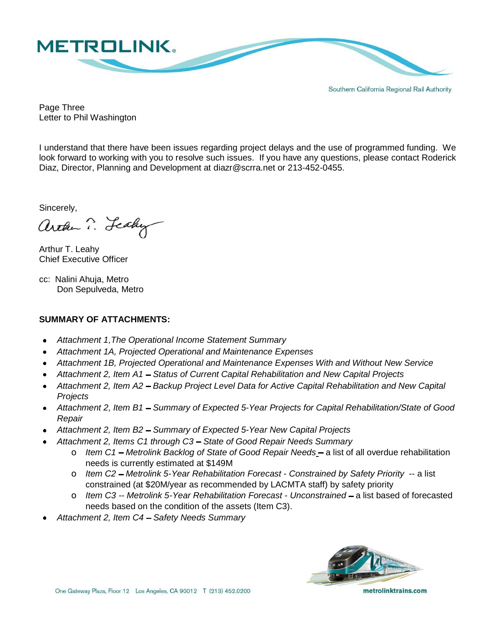

Southern California Regional Rail Authority

Page Three Letter to Phil Washington

I understand that there have been issues regarding project delays and the use of programmed funding. We look forward to working with you to resolve such issues. If you have any questions, please contact Roderick Diaz, Director, Planning and Development at [diazr@scrra.net](mailto:diazr@scrra.net) or 213-452-0455.

Sincerely,

arthu ? Lealy

Arthur T. Leahy Chief Executive Officer

cc: Nalini Ahuja, Metro Don Sepulveda, Metro

### **SUMMARY OF ATTACHMENTS:**

- *Attachment 1,The Operational Income Statement Summary*
- *Attachment 1A, Projected Operational and Maintenance Expenses*
- *Attachment 1B, Projected Operational and Maintenance Expenses With and Without New Service*
- *Attachment 2, Item A1 Status of Current Capital Rehabilitation and New Capital Projects*
- Attachment 2, Item A2 Backup Project Level Data for Active Capital Rehabilitation and New Capital *Projects*
- *Attachment 2, Item B1 Summary of Expected 5-Year Projects for Capital Rehabilitation/State of Good Repair*
- Attachment 2, Item B2 Summary of Expected 5-Year New Capital Projects
- Attachment 2, Items C1 through C3 State of Good Repair Needs Summary
	- o Item C1 Metrolink Backlog of State of Good Repair Needs a list of all overdue rehabilitation needs is currently estimated at \$149M
	- o *Item C2 Metrolink 5-Year Rehabilitation Forecast - Constrained by Safety Priority* -- a list constrained (at \$20M/year as recommended by LACMTA staff) by safety priority
	- o *Item C3 -- Metrolink 5-Year Rehabilitation Forecast - Unconstrained* a list based of forecasted needs based on the condition of the assets (Item C3).
- Attachment 2, Item C4 Safety Needs Summary

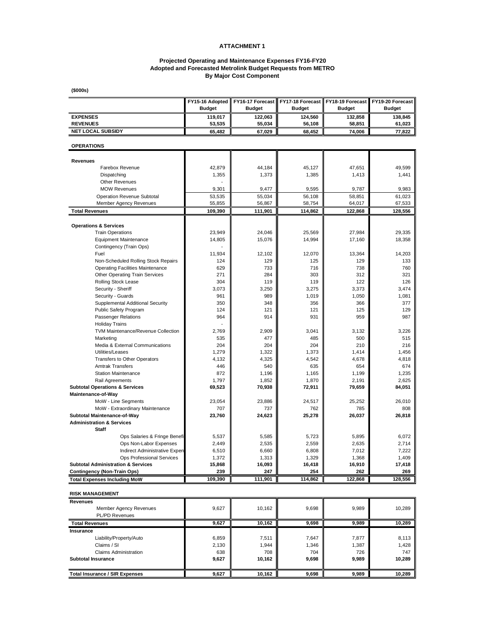### **ATTACHMENT 1**

### **Adopted and Forecasted Metrolink Budget Requests from METRO By Major Cost Component Projected Operating and Maintenance Expenses FY16-FY20**

**(\$000s)**

|                                                                                   | FY15-16 Adopted | FY16-17 Forecast | FY17-18 Forecast | FY18-19 Forecast | FY19-20 Forecast |
|-----------------------------------------------------------------------------------|-----------------|------------------|------------------|------------------|------------------|
|                                                                                   | <b>Budget</b>   | <b>Budget</b>    | <b>Budget</b>    | <b>Budget</b>    | <b>Budget</b>    |
| <b>EXPENSES</b>                                                                   | 119,017         | 122,063          | 124,560          | 132,858          | 138,845          |
| <b>REVENUES</b>                                                                   | 53,535          | 55,034           | 56,108           | 58,851           | 61,023           |
| <b>NET LOCAL SUBSIDY</b>                                                          | 65,482          | 67,029           | 68,452           | 74,006           | 77,822           |
| <b>OPERATIONS</b>                                                                 |                 |                  |                  |                  |                  |
| <b>Revenues</b>                                                                   |                 |                  |                  |                  |                  |
| Farebox Revenue                                                                   | 42,879          | 44,184           | 45,127           | 47,651           | 49,599           |
| Dispatching                                                                       | 1,355           | 1,373            | 1,385            | 1,413            | 1,441            |
| <b>Other Revenues</b>                                                             |                 |                  |                  |                  |                  |
| <b>MOW Revenues</b>                                                               | 9,301           | 9,477            | 9,595            | 9,787            | 9,983            |
| <b>Operation Revenue Subtotal</b>                                                 | 53,535          | 55.034           | 56,108           | 58,851           | 61,023           |
| Member Agency Revenues                                                            | 55,855          | 56,867           | 58,754           | 64,017           | 67,533           |
| <b>Total Revenues</b>                                                             | 109,390         | 111,901          | 114,862          | 122,868          | 128,556          |
| <b>Operations &amp; Services</b>                                                  |                 |                  |                  |                  |                  |
| <b>Train Operations</b>                                                           | 23,949          | 24,046           | 25,569           | 27,984           | 29,335           |
| <b>Equipment Maintenance</b>                                                      | 14,805          | 15,076           | 14,994           | 17,160           | 18,358           |
| Contingency (Train Ops)                                                           |                 |                  |                  |                  |                  |
| Fuel                                                                              | 11,934          | 12,102           | 12,070           | 13,364           | 14,203           |
| Non-Scheduled Rolling Stock Repairs                                               | 124<br>629      | 129<br>733       | 125<br>716       | 129<br>738       | 133<br>760       |
| <b>Operating Facilities Maintenance</b><br>Other Operating Train Services         | 271             | 284              | 303              | 312              | 321              |
| Rolling Stock Lease                                                               | 304             | 119              | 119              | 122              | 126              |
| Security - Sheriff                                                                | 3,073           | 3,250            | 3,275            | 3,373            | 3,474            |
| Security - Guards                                                                 | 961             | 989              | 1,019            | 1,050            | 1,081            |
| Supplemental Additional Security                                                  | 350             | 348              | 356              | 366              | 377              |
| Public Safety Program                                                             | 124             | 121              | 121              | 125              | 129              |
| Passenger Relations                                                               | 964             | 914              | 931              | 959              | 987              |
| <b>Holiday Trains</b>                                                             |                 |                  |                  |                  |                  |
| TVM Maintenance/Revenue Collection                                                | 2,769           | 2,909            | 3,041            | 3,132            | 3,226            |
| Marketing                                                                         | 535             | 477              | 485              | 500              | 515              |
| Media & External Communications                                                   | 204             | 204              | 204              | 210              | 216              |
| Utilities/Leases                                                                  | 1,279           | 1,322            | 1,373            | 1,414            | 1,456            |
| Transfers to Other Operators                                                      | 4,132           | 4,325            | 4,542            | 4,678            | 4,818            |
| <b>Amtrak Transfers</b><br><b>Station Maintenance</b>                             | 446<br>872      | 540<br>1,196     | 635<br>1,165     | 654<br>1,199     | 674<br>1,235     |
| Rail Agreements                                                                   | 1,797           | 1,852            | 1,870            | 2,191            | 2,625            |
| <b>Subtotal Operations &amp; Services</b>                                         | 69,523          | 70,938           | 72,911           | 79,659           | 84,051           |
| Maintenance-of-Way                                                                |                 |                  |                  |                  |                  |
| MoW - Line Segments                                                               | 23,054          | 23,886           | 24.517           | 25,252           | 26,010           |
| MoW - Extraordinary Maintenance                                                   | 707             | 737              | 762              | 785              | 808              |
| Subtotal Maintenance-of-Way                                                       | 23,760          | 24,623           | 25,278           | 26,037           | 26,818           |
| <b>Administration &amp; Services</b>                                              |                 |                  |                  |                  |                  |
| <b>Staff</b>                                                                      |                 |                  |                  |                  |                  |
| Ops Salaries & Fringe Benefi                                                      | 5,537           | 5,585            | 5,723            | 5,895            | 6,072            |
| Ops Non-Labor Expenses                                                            | 2,449           | 2,535            | 2,559            | 2,635            | 2,714            |
| Indirect Administrative Expen                                                     | 6,510           | 6,660            | 6,808            | 7,012            | 7,222<br>1,409   |
| <b>Ops Professional Services</b><br><b>Subtotal Administration &amp; Services</b> | 1,372<br>15,868 | 1,313<br>16,093  | 1,329<br>16,418  | 1,368<br>16,910  | 17,418           |
| <b>Contingency (Non-Train Ops)</b>                                                | 239             | 247              | 254              | 262              | 269              |
| <b>Total Expenses Including MoW</b>                                               | 109,390         | 111,901          | 114,862          | 122,868          | 128,556          |
| <b>RISK MANAGEMENT</b>                                                            |                 |                  |                  |                  |                  |
| Revenues                                                                          |                 |                  |                  |                  |                  |
| <b>Member Agency Revenues</b>                                                     | 9,627           | 10,162           | 9,698            | 9,989            | 10,289           |
| <b>PL/PD Revenues</b>                                                             |                 |                  |                  |                  |                  |
| <b>Total Revenues</b>                                                             | 9,627           | 10,162           | 9,698            | 9,989            | 10,289           |
| Insurance                                                                         |                 |                  |                  |                  |                  |
| Liability/Property/Auto                                                           | 6,859           | 7,511            | 7,647            | 7,877            | 8,113            |
| Claims / SI                                                                       | 2,130           | 1,944            | 1,346            | 1,387            | 1,428            |
| <b>Claims Administration</b>                                                      | 638             | 708              | 704              | 726              | 747              |
| <b>Subtotal Insurance</b>                                                         | 9,627           | 10,162           | 9,698            | 9,989            | 10,289           |
|                                                                                   |                 |                  |                  |                  |                  |
| <b>Total Insurance / SIR Expenses</b>                                             | 9,627           | 10,162           | 9,698            | 9,989            | 10,289           |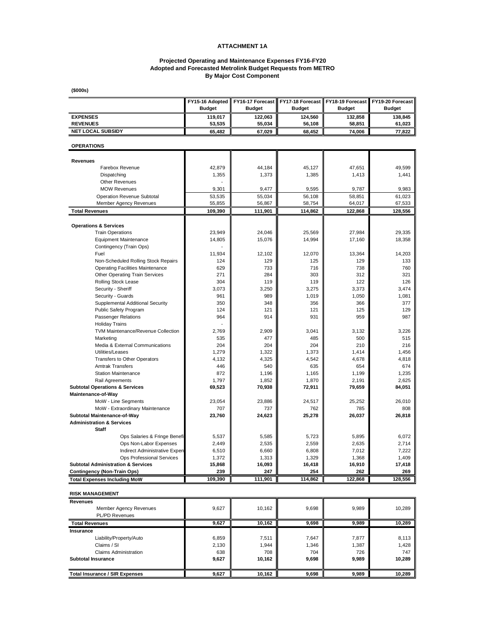### **ATTACHMENT 1A**

### **Adopted and Forecasted Metrolink Budget Requests from METRO By Major Cost Component Projected Operating and Maintenance Expenses FY16-FY20**

**(\$000s)**

|                                                                                     | FY15-16 Adopted<br><b>Budget</b> | FY16-17 Forecast<br><b>Budget</b> | <b>Budget</b>   | FY17-18 Forecast   FY18-19 Forecast<br><b>Budget</b> | FY19-20 Forecast<br><b>Budget</b> |
|-------------------------------------------------------------------------------------|----------------------------------|-----------------------------------|-----------------|------------------------------------------------------|-----------------------------------|
| <b>EXPENSES</b>                                                                     | 119,017                          | 122,063                           | 124,560         | 132,858                                              | 138,845                           |
| <b>REVENUES</b>                                                                     | 53,535                           | 55,034                            | 56,108          | 58,851                                               | 61,023                            |
| <b>NET LOCAL SUBSIDY</b>                                                            | 65,482                           | 67,029                            | 68,452          | 74,006                                               | 77,822                            |
| <b>OPERATIONS</b>                                                                   |                                  |                                   |                 |                                                      |                                   |
| Revenues                                                                            |                                  |                                   |                 |                                                      |                                   |
| Farebox Revenue                                                                     | 42,879                           | 44,184                            | 45,127          | 47,651                                               | 49,599                            |
| Dispatching                                                                         | 1,355                            | 1,373                             | 1,385           | 1,413                                                | 1,441                             |
| <b>Other Revenues</b>                                                               |                                  |                                   |                 |                                                      |                                   |
| <b>MOW Revenues</b>                                                                 | 9,301                            | 9,477                             | 9,595           | 9,787                                                | 9,983                             |
| <b>Operation Revenue Subtotal</b>                                                   | 53,535                           | 55,034                            | 56,108          | 58,851                                               | 61,023                            |
| <b>Member Agency Revenues</b>                                                       | 55,855                           | 56,867                            | 58,754          | 64,017                                               | 67,533                            |
| <b>Total Revenues</b>                                                               | 109,390                          | 111,901                           | 114,862         | 122,868                                              | 128,556                           |
| <b>Operations &amp; Services</b>                                                    |                                  |                                   |                 |                                                      |                                   |
| <b>Train Operations</b>                                                             | 23,949                           | 24,046                            | 25,569          | 27,984                                               | 29,335                            |
| <b>Equipment Maintenance</b>                                                        | 14,805                           | 15,076                            | 14,994          | 17,160                                               | 18,358                            |
| Contingency (Train Ops)                                                             |                                  |                                   |                 |                                                      |                                   |
| Fuel                                                                                | 11.934                           | 12,102                            | 12,070          | 13,364                                               | 14,203                            |
| Non-Scheduled Rolling Stock Repairs                                                 | 124                              | 129                               | 125             | 129                                                  | 133                               |
| <b>Operating Facilities Maintenance</b>                                             | 629                              | 733                               | 716             | 738                                                  | 760                               |
| Other Operating Train Services<br>Rolling Stock Lease                               | 271                              | 284                               | 303             | 312                                                  | 321                               |
| Security - Sheriff                                                                  | 304<br>3,073                     | 119<br>3,250                      | 119<br>3,275    | 122<br>3,373                                         | 126<br>3,474                      |
| Security - Guards                                                                   | 961                              | 989                               | 1,019           | 1,050                                                | 1,081                             |
| Supplemental Additional Security                                                    | 350                              | 348                               | 356             | 366                                                  | 377                               |
| Public Safety Program                                                               | 124                              | 121                               | 121             | 125                                                  | 129                               |
| Passenger Relations                                                                 | 964                              | 914                               | 931             | 959                                                  | 987                               |
| <b>Holiday Trains</b>                                                               |                                  |                                   |                 |                                                      |                                   |
| TVM Maintenance/Revenue Collection                                                  | 2,769                            | 2,909                             | 3,041           | 3,132                                                | 3,226                             |
| Marketing                                                                           | 535                              | 477                               | 485             | 500                                                  | 515                               |
| Media & External Communications                                                     | 204                              | 204                               | 204             | 210                                                  | 216                               |
| Utilities/Leases                                                                    | 1,279                            | 1,322                             | 1,373           | 1,414                                                | 1,456                             |
| Transfers to Other Operators                                                        | 4,132                            | 4,325                             | 4,542           | 4,678                                                | 4,818                             |
| <b>Amtrak Transfers</b>                                                             | 446                              | 540                               | 635             | 654                                                  | 674                               |
| <b>Station Maintenance</b>                                                          | 872                              | 1,196                             | 1,165           | 1,199                                                | 1,235                             |
| Rail Agreements<br><b>Subtotal Operations &amp; Services</b>                        | 1,797<br>69,523                  | 1,852<br>70,938                   | 1,870<br>72,911 | 2,191<br>79,659                                      | 2,625<br>84,051                   |
| Maintenance-of-Way                                                                  |                                  |                                   |                 |                                                      |                                   |
| MoW - Line Segments                                                                 | 23,054                           | 23,886                            | 24,517          | 25,252                                               | 26,010                            |
| MoW - Extraordinary Maintenance                                                     | 707                              | 737                               | 762             | 785                                                  | 808                               |
| Subtotal Maintenance-of-Way                                                         | 23,760                           | 24,623                            | 25,278          | 26,037                                               | 26,818                            |
| <b>Administration &amp; Services</b>                                                |                                  |                                   |                 |                                                      |                                   |
| <b>Staff</b>                                                                        |                                  |                                   |                 |                                                      |                                   |
| Ops Salaries & Fringe Benefi                                                        | 5,537                            | 5,585                             | 5,723           | 5,895                                                | 6,072                             |
| Ops Non-Labor Expenses                                                              | 2,449                            | 2,535                             | 2,559           | 2,635                                                | 2,714                             |
| Indirect Administrative Expen                                                       | 6,510                            | 6,660                             | 6,808           | 7,012                                                | 7,222                             |
| Ops Professional Services                                                           | 1,372                            | 1,313                             | 1,329           | 1,368                                                | 1,409                             |
| <b>Subtotal Administration &amp; Services</b><br><b>Contingency (Non-Train Ops)</b> | 15,868<br>239                    | 16,093<br>247                     | 16,418<br>254   | 16,910<br>262                                        | 17,418<br>269                     |
| <b>Total Expenses Including MoW</b>                                                 | 109,390                          | 111,901                           | 114,862         | 122,868                                              | 128,556                           |
|                                                                                     |                                  |                                   |                 |                                                      |                                   |
| <b>RISK MANAGEMENT</b>                                                              |                                  |                                   |                 |                                                      |                                   |
| <b>Revenues</b>                                                                     |                                  |                                   |                 |                                                      |                                   |
| <b>Member Agency Revenues</b><br>PL/PD Revenues                                     | 9,627                            | 10,162                            | 9,698           | 9,989                                                | 10,289                            |
| <b>Total Revenues</b>                                                               | 9,627                            | 10,162                            | 9,698           | 9,989                                                | 10,289                            |
| Insurance                                                                           |                                  |                                   |                 |                                                      |                                   |
| Liability/Property/Auto                                                             | 6,859                            | 7,511                             | 7,647           | 7,877                                                | 8,113                             |
| Claims / SI                                                                         | 2,130                            | 1,944                             | 1,346           | 1,387                                                | 1,428                             |
| <b>Claims Administration</b>                                                        | 638                              | 708                               | 704             | 726                                                  | 747                               |
| <b>Subtotal Insurance</b>                                                           | 9,627                            | 10,162                            | 9,698           | 9,989                                                | 10,289                            |
|                                                                                     |                                  |                                   |                 |                                                      |                                   |
| <b>Total Insurance / SIR Expenses</b>                                               | 9,627                            | 10,162                            | 9,698           | 9,989                                                | 10,289                            |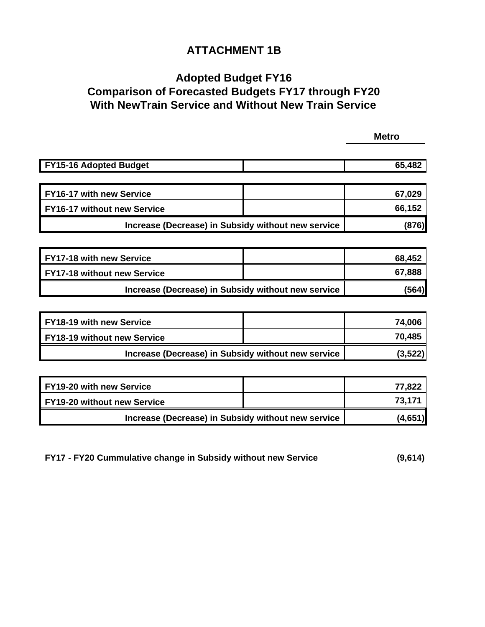### **ATTACHMENT 1B**

## **Comparison of Forecasted Budgets FY17 through FY20 With NewTrain Service and Without New Train Service Adopted Budget FY16**

 **Metro** 

| <b>FY15-16 Adopted Budget</b>                      | 65,482 |
|----------------------------------------------------|--------|
|                                                    |        |
|                                                    |        |
|                                                    |        |
| <b>FY16-17 with new Service</b>                    | 67,029 |
|                                                    |        |
| <b>FY16-17 without new Service</b>                 | 66,152 |
|                                                    |        |
| Increase (Decrease) in Subsidy without new service | (876)  |
|                                                    |        |

| FY17-18 with new Service                           | 68,452 |
|----------------------------------------------------|--------|
| <b>FY17-18 without new Service</b>                 | 67,888 |
| Increase (Decrease) in Subsidy without new service | (564)  |

| <b>FY18-19 with new Service</b>                    | 74,006  |
|----------------------------------------------------|---------|
| FY18-19 without new Service                        | 70,485  |
| Increase (Decrease) in Subsidy without new service | (3,522) |

| FY19-20 with new Service                           | 77,822  |
|----------------------------------------------------|---------|
| FY19-20 without new Service                        | 73.171  |
| Increase (Decrease) in Subsidy without new service | (4,651) |

| (9,614)<br>FY17 - FY20 Cummulative change in Subsidy without new Service |
|--------------------------------------------------------------------------|
|--------------------------------------------------------------------------|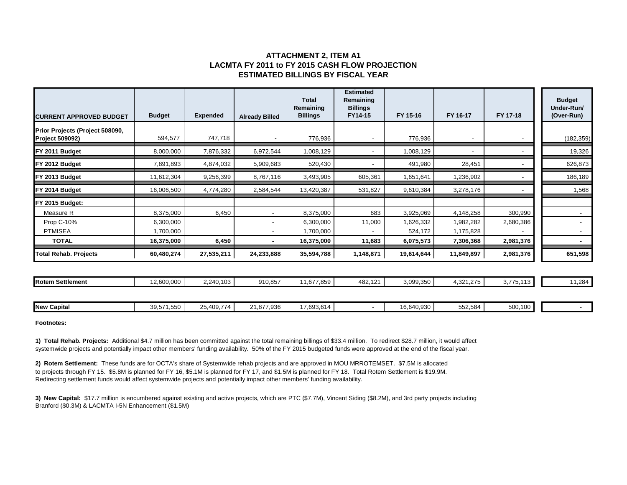### **ATTACHMENT 2, ITEM A1 LACMTA FY 2011 to FY 2015 CASH FLOW PROJECTION ESTIMATED BILLINGS BY FISCAL YEAR**

| <b>CURRENT APPROVED BUDGET</b>                            | <b>Budget</b> | <b>Expended</b> | <b>Already Billed</b>    | <b>Total</b><br>Remaining<br><b>Billings</b> | <b>Estimated</b><br>Remaining<br><b>Billings</b><br>FY14-15 | FY 15-16   | FY 16-17   | FY 17-18  | <b>Budget</b><br>Under-Run/<br>(Over-Run) |
|-----------------------------------------------------------|---------------|-----------------|--------------------------|----------------------------------------------|-------------------------------------------------------------|------------|------------|-----------|-------------------------------------------|
| Prior Projects (Project 508090,<br><b>Project 509092)</b> | 594,577       | 747,718         |                          | 776,936                                      |                                                             | 776,936    |            |           | (182, 359)                                |
| FY 2011 Budget                                            | 8,000,000     | 7,876,332       | 6,972,544                | 1,008,129                                    |                                                             | 1,008,129  |            |           | 19,326                                    |
| FY 2012 Budget                                            | 7,891,893     | 4,874,032       | 5,909,683                | 520,430                                      |                                                             | 491,980    | 28,451     |           | 626,873                                   |
| FY 2013 Budget                                            | 11,612,304    | 9,256,399       | 8,767,116                | 3,493,905                                    | 605,361                                                     | 1,651,641  | 1,236,902  |           | 186,189                                   |
| FY 2014 Budget                                            | 16,006,500    | 4,774,280       | 2,584,544                | 13,420,387                                   | 531,827                                                     | 9,610,384  | 3,278,176  |           | 1,568                                     |
| FY 2015 Budget:                                           |               |                 |                          |                                              |                                                             |            |            |           |                                           |
| Measure R                                                 | 8,375,000     | 6,450           |                          | 8,375,000                                    | 683                                                         | 3,925,069  | 4,148,258  | 300,990   |                                           |
| Prop C-10%                                                | 6,300,000     |                 | $\overline{\phantom{a}}$ | 6,300,000                                    | 11,000                                                      | 1,626,332  | 1,982,282  | 2,680,386 |                                           |
| <b>PTMISEA</b>                                            | 1,700,000     |                 |                          | ,700,000                                     |                                                             | 524,172    | 1,175,828  |           |                                           |
| <b>TOTAL</b>                                              | 16,375,000    | 6,450           |                          | 16,375,000                                   | 11,683                                                      | 6,075,573  | 7,306,368  | 2,981,376 |                                           |
| <b>Total Rehab. Projects</b>                              | 60,480,274    | 27,535,211      | 24,233,888               | 35,594,788                                   | 1,148,871                                                   | 19,614,644 | 11,849,897 | 2,981,376 | 651,598                                   |
|                                                           |               |                 |                          |                                              |                                                             |            |            |           |                                           |
| <b>Rotem Settlement</b>                                   | 12,600,000    | 2,240,103       | 910,857                  | 11,677,859                                   | 482,121                                                     | 3,099,350  | 4,321,275  | 3,775,113 | 11,284                                    |
| <b>New Capital</b>                                        | 39,571,550    | 25,409,774      | 21,877,936               | 17,693,614                                   |                                                             | 16,640,930 | 552,584    | 500,100   | $\sim$                                    |

**Footnotes:**

**1) Total Rehab. Projects:** Additional \$4.7 million has been committed against the total remaining billings of \$33.4 million. To redirect \$28.7 million, it would affect systemwide projects and potentially impact other members' funding availability. 50% of the FY 2015 budgeted funds were approved at the end of the fiscal year.

**2) Rotem Settlement:** These funds are for OCTA's share of Systemwide rehab projects and are approved in MOU MRROTEMSET. \$7.5M is allocated to projects through FY 15. \$5.8M is planned for FY 16, \$5.1M is planned for FY 17, and \$1.5M is planned for FY 18. Total Rotem Settlement is \$19.9M. Redirecting settlement funds would affect systemwide projects and potentially impact other members' funding availability.

**3) New Capital:** \$17.7 million is encumbered against existing and active projects, which are PTC (\$7.7M), Vincent Siding (\$8.2M), and 3rd party projects including Branford (\$0.3M) & LACMTA I-5N Enhancement (\$1.5M)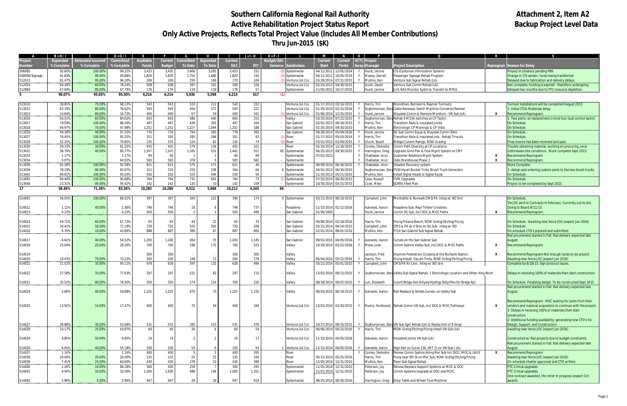# Southern California Regional Rail Authority<br>
Active Rehabilitation Project Status Report<br>
Active Rehabilitation Project Status Report **Active Rehabilitation Project Status Report Only Active Projects, Reflects Total Project Value (Includes All Member Contributions) Thru Jun-2015 (\$K)**

|                  | $B = H/I$        |                           | $D = G/I$        |                  |                |                |                |              | $J = I - H$ | $K = F - I$ |                                    |                       |                                                | $\mathbf{o}$ |                                     |                                                                                                                 |              |                                                                                                                |
|------------------|------------------|---------------------------|------------------|------------------|----------------|----------------|----------------|--------------|-------------|-------------|------------------------------------|-----------------------|------------------------------------------------|--------------|-------------------------------------|-----------------------------------------------------------------------------------------------------------------|--------------|----------------------------------------------------------------------------------------------------------------|
| roject           | <b>Expended</b>  | <b>Estimated Incurred</b> | Committed        | <b>Available</b> | <b>Current</b> | Committed      | Expended       | Current      |             | Budget/EAC  |                                    | <b>Current</b>        | <b>Current</b>                                 |              | VCTC Project                        |                                                                                                                 |              |                                                                                                                |
| Jumber           | % Complete       | % Complete                | % Complete       | <b>Funds</b>     | <b>Budget</b>  | <b>To Date</b> | <b>To Date</b> | EAC          | ETC         | Variance    | <b>Subdivision</b>                 | <b>Start</b>          | <b>Finish</b>                                  |              | Manager                             | Project Description                                                                                             |              | <b>Reprogram Reason for Delay</b>                                                                              |
| 506085           | 95.60%           | 100.00%                   | 99.22%           | 3,433            | 3,432          | 3,406          | 3,281          | 3,433        | 151         |             | Systemwide                         | 04/11/2011            | 12/05/2014                                     |              | Hurst, Jerone                       | CIS (Customer Information System)                                                                               |              | Project in closeout pending PBR.                                                                               |
| 508090/Signage   | 91.83%           | 99.00%                    | 95.88%           | 1,829            | 1,829          | 1,754          | 1,680          | 1,829        | 150         |             | Systemwide                         |                       | 04/11/2011 10/05/2014                          |              | Maxey, Darrell                      | Passenger Signage Rehab Program                                                                                 |              | Change in CIS vendor, funds being transferred                                                                  |
| 512013           | 61.47%           | 95.00%                    | 96.10%           | 269              | 269            | 259            | 166            | 270          | 104         |             | /entura (LA Co)                    | 03/28/2014            | 07/31/2015                                     |              | Mullins, Ken                        | Ventura Sub Signal Rehab (LA)                                                                                   |              | Delayed due to fabrication and delivery delays.                                                                |
| 512014           | 69.36%           | 60.00%                    | 78.24%           | 508              | 508            | 397            | 352            | 508          | 156         |             | /entura (LA Co)                    |                       | 02/24/2013 04/30/2015                          |              | Quirk, David                        | Ventura Sub Comm Rehab (LA)                                                                                     |              | Not complete; funding is expired - therefore undergoing                                                        |
| 512083           | 67.69%           | 80.00%                    | 67.79%           | 176              | 176            | 119            | 119            | 176          | 57          |             | Systemwide                         |                       | 11/05/2012 10/27/201                           |              | Hurst, Jerone                       | J/G NAS Monitor Systm & Transitn to MPLS                                                                        |              | Delayed two months due to PTC resource depletion.                                                              |
| 5.               | 90.07%           | 95.65%                    | 95.50%           | 6,214            | 6,214          | 5,936          | 5,598          | 6,215        | 617         | (1)         |                                    |                       |                                                |              |                                     |                                                                                                                 |              |                                                                                                                |
| 513010           | 38.85%           | 75.00%                    | 98.13%           | 543              | 543            | 533            | 211            | 543          | 332         |             | /entura (LA Co)                    | 01/17/201             | 03/16/2015                                     |              | Harris, Tim                         | <b>Noodman, Bernson &amp; Raymer Turnouts</b>                                                                   |              | Turnout installations will be completed August 2015                                                            |
| 513012           | 62.78%           | 80.00%                    | 76.62%           | 593              | 593            | 454            | 372            | 593          | 221         |             | Ventura (LA Co)                    | 01/20/201             | 02/15/2016                                     |              |                                     | Soghomonian, Stev Cable Renewal, Swtch Machine Conversn/Renewl                                                  |              | 1- Initial CTOs Materials delay                                                                                |
| 513013           | 14.84%           | 80.00%                    | 16.72%           | 400              | 400            | 67             | 59             | 400          | 341         |             | Ventura (LA Co)                    | 01/06/201             | 12/25/2015                                     |              | Hurst, Jerone                       | Vayside Comm & Remote Monitors - VN Sub (LA)                                                                    | X            | <b>Recommend Reprogram</b>                                                                                     |
| 513016           | 63.51%           | 65.00%                    | 84.62%           | 693              | 693            | 586            | 440            | 693          | 253         |             | alley                              | 03/25/201             | 07/22/2015                                     |              |                                     | Soghomonian, Stev Rehab 4 M23A switches at CP Taylor                                                            |              | 1- Two parts--a) replacement in kind four dual control switch                                                  |
| 513017           | 79.09%           | 100.00%                   | 88.34%           | 497              | 497            | 439            | 393            | 497          | 104         |             | San Gabriel                        | 02/01/201             | 08/18/2015                                     |              | Harris, Tim                         | ransition Rails & Insulated Joints.                                                                             |              | On Schedule.                                                                                                   |
| 513018           | 84.97%           | 70.00%                    | 97.98%           | 1,252            | 1,252          | 1,227          | 1,064          | 1,252        | 188         |             | San Gabriel                        | 01/20/201             | 09/30/201                                      |              | Mullins, Ken                        | Electrologic CP Marengo & CP Vista                                                                              |              | On Schedule.                                                                                                   |
| 513019           | 49.38%           | 90.00%                    | 97.20%           | 776              | 776            | 754            | 383            | 776          | 393         |             | an Gabriel                         | 04/28/2014            | 05/09/2016                                     |              | Hurst, Jerone                       | SG Sub Comm Equip & Wayside Comm Sites                                                                          |              | On Schedule                                                                                                    |
| 513027           | 76.45%           | 100.00%                   | 81.25%           | 351              | 350            | 285            | 268            | 351          | 83          |             | River                              | 01/17/2013            | 05/03/2014                                     |              | Harris, Tim                         | ransition Rails & Insulated Jnts. Rehab Trnouts                                                                 |              | On Schedule.                                                                                                   |
| 513028           | 52.25%           | 100.00%                   | 79.85%           | 155              | 155            | 124<br>279     | 8 <sup>1</sup> | 156          | 74          |             | River                              | 03/01/2013            | 03/09/2015                                     |              | Chuck, Stuart                       | Bridge/Culvert Ratngs, ROW Gradng                                                                               |              | Final invoice has been received and paid.                                                                      |
| 513030<br>513031 | 29.33%<br>36.79% | 30.00%<br>40.00%          | 61.25%<br>80.77% | 455<br>1,507     | 455<br>1,507   | 1,165          | 134<br>531     | 455<br>1,442 | 322<br>911  |             | River<br>65 Systemwide             | 06/25/201             | 02/10/2014 12/18/2015<br>09/30/2015            |              | Conley, DeAndre<br>Harrington, Greg | omm Path Diversity at CP Locations<br>Jpgrade Grnd Pwr & Fuel Mgmt System at CMF                                |              | Trouble obtaining material; working on procuring, once<br>Unforeseen site conditions. Work complete Sept 2015. |
| 513033           | 1.17%            |                           | 1.17%            | 90               | 90             | $\overline{1}$ |                | 90           | 89          |             | Systemwide                         | 07/01/2013            |                                                |              | Chakladar, Arun                     | ustomer Relations Mgmt System                                                                                   | X            | <b>Recommend Reprogram</b>                                                                                     |
| 513034           | 0.07%            |                           | 64.92%           | 583              | 583            | 378            |                | 583          | 582         |             | Systemwide                         |                       |                                                |              | Chakladar, Arun                     | ata Warehouse Phase 2                                                                                           | X            | <b>Recommend Reprogram</b>                                                                                     |
| 513036           | 92.58%           | 100.00%                   | 92.58%           | 621              | 621            | 575            | 575            | 621          | 46          |             | Systemwide                         |                       | 06/09/2014 06/30/2015                          |              | Chakladar, Arun                     | )isaster Recovery system                                                                                        |              | <b>Work Complete</b>                                                                                           |
| 513039           | 78.19%           | 90.00%                    | 83.87%           | 311              | 310            | 255            | 238            | 304          | 66          |             | Systemwide                         |                       | 04/01/2013 06/30/2015                          |              |                                     | Soghomonian, Stev F550 Hyrail Bucket Trcks, Brush Truck Generatrs                                               |              | 1- design and ordering custom parts to the two brush trucks                                                    |
| 513042           | 89.81%           | 100.00%                   | 95.03%           | 550              | 550            | 523            | 494            | 550          | 56          |             | Systemwide                         | 11/15/2013            | 05/21/201                                      |              | Mullins, Ken                        | nstall Signal Heads & Signal Equip                                                                              |              | On Schedule.                                                                                                   |
| 513045           | 90.40%           | 100.00%                   | 95.68%           | 764              | 764            | 731            | 691            | 764          | 73          |             | Systemwide                         |                       | 07/25/2014 06/30/2015                          |              | Case, Russell                       | VM Upgrades                                                                                                     |              | On Schedule.                                                                                                   |
| 513048           | 23.31%           | 95.00%                    | 95.42%           | 142              | 142            | 135            | 33             | 142          | 109         |             | Systemwide                         |                       | 10/30/2014 03/15/2015                          |              | Cook, Mike                          | <b>SCRRA Fleet Plan</b>                                                                                         |              | Project to be completed by Sept 2015                                                                           |
| 17               | 58.45%           | 71.36%                    | 83.36%           | 10,283           | 10,280         | 8,512          | 5,968          | 10,212       | 4,243       | 69          |                                    |                       |                                                |              |                                     |                                                                                                                 |              |                                                                                                                |
| 514001           | 56.05%           | 100.00%                   | 86.52%           | 397              | 397            | 343            | 222            | 396          | 174         |             | 0 Systemwide                       |                       | 03/21/2014 06/10/2015                          |              | Campbell, John                      | Montebllo & Norwalk CMS/PA. Integ w/ BO Srvr                                                                    |              | On Schedule.                                                                                                   |
|                  |                  |                           |                  |                  |                |                |                |              |             |             |                                    |                       |                                                |              |                                     |                                                                                                                 |              | Tie JOC sent to Contracts in February. Currently out to bid.                                                   |
| 514012           | 1.12%            | 40.00%                    | 2.36%            | 746              | 746            | 18             |                | 746          | 737         |             | Pasadena                           |                       | 11/15/2014 01/12/2016                          |              | Azevedo, Aaron                      | asadena Sub: Repl Timber Crossties                                                                              |              | Going to Board 9/11/15.                                                                                        |
| 514013           | 0.23%            |                           | 0.23%            | 500              | 500            |                |                | 500          | 499         |             | an Gabriel                         | 01/00/190             |                                                |              | Hurst, Jerone                       | omm SG Sub, Incl DOC & MOC Paths                                                                                |              | <b>Recommend Reprogram</b>                                                                                     |
|                  |                  |                           |                  |                  |                |                |                |              |             |             |                                    |                       |                                                |              |                                     |                                                                                                                 |              |                                                                                                                |
| 514014           | 49.72%           | 60.00%                    | 67.73%           | 65               | 65             | 44             | 32             | 65           | 33          |             | San Gabriel                        | 06/06/2014 02/18/2016 |                                                |              | Harris, Tim                         | ncng Fntana-Beech; ROW Grdng/Dtchng/Fncng                                                                       |              | On Schedule. Awaiting new fence JOC (expect Jan 2016)                                                          |
| 514015           | 54.41%           | 50.00%                    | 72.18%           | 729              | 720            | 520            | 392            | 720          | 328         |             | San Gabriel                        |                       | 03/21/2014 04/14/2015                          |              | Campbell, John                      | MS & PA @ 4 Stns on SG Sub. Integ w/BO                                                                          |              | On Schedule.                                                                                                   |
| 514016           | 9.76%            | 10.00%                    | 43.89%           | 888              | 887            | 389            | 87             | 887          | 800         |             | an Gabriel                         | 12/01/2014            | 06/01/201                                      |              | Mullins, Ken                        | Y14 San Gabriel Sub Signal Rehab                                                                                |              | On schedule CTO's prpared and submitted.                                                                       |
| 514017           | 4.61%            | 40.00%                    | 54.52%           | 1,200            | 1,200          | 654            | 55             | 1,200        | 1,145       |             | San Gabriel                        |                       | 09/01/2015 04/05/2016                          |              | Azevedo, Aaron                      | Curves on the San Gabriel Sub                                                                                   |              | Rail prourement started in Fall. Rail delivery expected late                                                   |
| 514018           | 25.04%           | 25.00%                    | 28.30%           | 700              | 700            | 198            | 175            | 700          | 525         |             | Valley                             |                       | 10/20/2014 03/22/2016                          |              | Meza, Jose                          | omm Systms Valley Sub, Incl DOC & MOC Paths:                                                                    | X            | August.<br><b>Recommend Reprogram</b>                                                                          |
|                  |                  |                           |                  |                  |                |                |                |              |             |             |                                    |                       |                                                |              |                                     |                                                                                                                 |              |                                                                                                                |
| 514019           |                  |                           |                  | 300              | 300            |                |                | 300          | 300         |             | Valley                             |                       |                                                |              | Jackson, Fred                       | mprove Pedestrian Crossing at the Burbank Station                                                               | X            | Recommend Reprogram-Not enough funds to do project                                                             |
| 514020           | 10.43%           | 70.00%                    | 74.22%           | 200              | 200            | 148            | 21             | 200          | 179         |             | <b>Jalley</b>                      | 06/04/2014            | 03/22/2016                                     |              | Harris, Tim                         | ncng Install; Vacum Tnnls, ROW Grdng/Dtchng/Fncng                                                               |              | Awaiting new fence JOC (expect Jan 2016)                                                                       |
| 514021           | 21.01%           | 35.00%                    | 95.11%           | 678              | 628            | 597            | 132            | 628          | 496         |             | <b>Jalley</b>                      |                       | 03/21/2014 05/01/2015                          |              | Campbell, John                      | MS/PA AV Line. Integ w/ BO Srvr.                                                                                |              | Complete by 8/28/15. Sign protocol issues.                                                                     |
|                  |                  |                           |                  |                  |                |                |                |              |             |             |                                    |                       |                                                |              |                                     |                                                                                                                 |              |                                                                                                                |
| 514022           | 27.58%           | 33.00%                    | 77.63%           | 297              | 297            | 231            | 82             | 297          | 215         |             | Valley                             |                       | 12/01/2014 08/12/2015                          |              |                                     | Soghomonian, Stev Valley Sub Signal Rehab: 1 Electrologic Location and Other Xing Work                          |              | Delays in receiving 100% of materials then start construction                                                  |
| 514023           | 35.52%           | 80.00%                    | 78.30%           | 350              | 350            | 274            | 124            | 350          | 226         |             | Valley                             | 08/18/2014 09/07/2015 |                                                |              | Y Lun, Elizabeth                    | Culvrt/Brdge Des Anlysis/Hydrlgy Stdy/Plns for Brdge Rpl                                                        |              | On Schedule. Finalizing design. To be constructed Sept 2015                                                    |
|                  |                  |                           |                  |                  |                |                |                |              |             |             |                                    |                       |                                                |              |                                     |                                                                                                                 |              | Rail prourement started in Fall. Rail delivery expected late                                                   |
| 514024           | 5.69%            | 40.00%                    | 54.68%           | 1,225            | 1,225          | 670            | 70             | 1,225        | 1,155       |             | Valley                             |                       | 08/03/2015 06/19/2015                          |              | Azevedo, Aaron                      | Rail Replace & Rehab Curves on Valley Sub                                                                       |              | August.                                                                                                        |
|                  |                  |                           |                  |                  |                |                |                |              |             |             |                                    |                       |                                                |              |                                     |                                                                                                                 |              |                                                                                                                |
|                  |                  |                           |                  |                  |                |                |                |              |             |             |                                    |                       |                                                |              |                                     |                                                                                                                 |              | Recommend Reprogram - MEC waiting for parts from their                                                         |
| 514025           | 13.92%           | 14.00%                    | 17.47%           | 400              | 400            | 70             |                | 400          | 344         |             | Ventura (LA Co)                    |                       | 12/01/2014 03/30/2015                          |              |                                     | Y Rivera, Ferdinand Rehab Comm VN Sub, Incl DOC & MOC Pathways                                                  | x            | vendors and material acquisition to continue with the project.                                                 |
|                  |                  |                           |                  |                  |                |                |                |              |             |             |                                    |                       |                                                |              |                                     |                                                                                                                 |              | 1- Delays in receiving 100% of materials then start                                                            |
|                  |                  |                           |                  |                  |                |                |                |              |             |             |                                    |                       |                                                |              |                                     |                                                                                                                 |              | construction.                                                                                                  |
|                  |                  |                           |                  |                  |                |                |                |              |             |             |                                    |                       |                                                |              |                                     |                                                                                                                 |              | 2- Additional funding availability; generating new CTO's for                                                   |
| 514027<br>514028 | 28.88%<br>10.17% | 30.00%<br>25.00%          | 53.68%<br>43.87% | 531<br>60        | 531<br>60      | 285<br>26      | 153            | 531<br>60    | 378<br>54   |             | Ventura (LA Co)<br>Ventura (LA Co) | 06/06/2014 04/22/2016 | 10/27/2014 08/15/2015                          |              | Harris, Tim                         | Y Soghomonian, Stev VN Sub Sgnl Rehab (LA) & Replacmnt of 8 Xings<br>ROW Grdng/Dtchng/Fncng Install VN Sub (LA) |              | Design, Support, and Construction<br>Awaiting new fence JOC (expect Jan 2016)                                  |
|                  |                  |                           |                  |                  |                |                |                |              |             |             |                                    |                       |                                                |              |                                     |                                                                                                                 |              |                                                                                                                |
| 514029           | 9.85%            | 50.00%                    | 9.85%            | 19               | 19             | 2              |                | 19           | 17          |             | Ventura (LA Co)                    |                       | 11/15/2014 04/05/2016                          |              | Azevedo, Aaron                      | Insulated Joints VN Sub (LA)                                                                                    |              | Constructed w/ Rail projects due to budget constraints.                                                        |
|                  |                  |                           |                  |                  |                |                |                |              |             |             |                                    |                       |                                                |              |                                     |                                                                                                                 |              | Rail prourement started in Fall. Rail delivery expected late                                                   |
| 514030           | 6.05%            | 40.00%                    | 55.18%           | 100              | 100            | 55             |                | 100          | 93          |             | 1 Ventura (LA Co)                  |                       | 11/15/2014 04/05/2016                          |              | Azevedo, Aaron                      | Repl Rail on Curve 130, (MT 2) on VN Sub (LA)                                                                   |              | August.                                                                                                        |
| 514037           | 1.14%            |                           | 1.14%            | 400              | 400            | 5              |                | 400          | 395         |             | River                              |                       |                                                |              | Conley, DeAndre                     | Renew Comm Systms Along Rivr Sub Incl DOC, MOC & LAUS                                                           | $\mathbf{x}$ | Recommend Reprogram                                                                                            |
| 514038           | 20.00%           | 20.00%                    | 20.00%           | 125              | 125            | 25             | 25             | 125          | 100         |             | River                              |                       | 05/12/2014 05/25/2016                          |              | Harris, Tim                         | Fncig near 9th St on Rivr Sub; ROW Grdng/Dtchng/Fncng                                                           |              | Awaiting new fence JOC (expect Jan 2016)                                                                       |
| 514039<br>514040 | 7.41%<br>2.26%   | 25.00%<br>10.00%          | 64.60%           | 430<br>300       | 430<br>300     | 278<br>259     | 32             | 430<br>300   | 398<br>293  |             | River                              |                       | 12/05/2014 12/31/2015<br>11/01/2014 12/31/2015 |              | Mullins, Ken                        | River Sub Signal Rehab                                                                                          |              | On schedule charter approved and CTO written.                                                                  |
| 514041           | 9.94%            | 10.00%                    | 86.18%<br>32.56% | 1,500            | 1,500          | 488            | 149            | 1,500        | 1,351       |             | Systemwide<br>Systemwide           |                       | 11/01/2014 12/31/2015                          |              | Peterson, Jay<br>Peterson, Jay      | Renew/Replace Support Systems at MOC & DOC<br>Comm Systems Upgrade at DOC and MOC.                              |              | PTC Critical upgrades<br><b>PTC Critical upgrades</b>                                                          |
|                  |                  |                           |                  |                  |                |                |                |              |             |             |                                    |                       |                                                |              |                                     |                                                                                                                 |              | One contract awarded, the other in progress (expect Oct                                                        |
| 514042           | 2.99%            | 5.00%                     | 2.99%            | 947              | 947            | 28             | 28             | 947          | 919         |             | Systemwide                         | 08/25/2014 06/30/2016 |                                                |              |                                     | Harrington, Greg   Drop Table and Wheel True Machine                                                            |              | award)                                                                                                         |
|                  |                  |                           |                  |                  |                |                |                |              |             |             |                                    |                       |                                                |              |                                     |                                                                                                                 |              |                                                                                                                |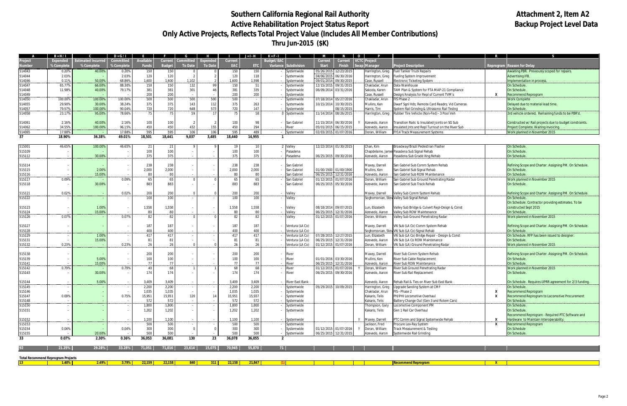# Southern California Regional Rail Authority<br>
Active Rehabilitation Project Status Report<br>
Active Rehabilitation Project Status Report **Active Rehabilitation Project Status Report Only Active Projects, Reflects Total Project Value (Includes All Member Contributions) Thru Jun-2015 (\$K)**

|                                           | $B = H/I$                |                           | $D = G/I$  |                  |                |                          |                 |                    | $J = I - H$    | $K = F - I$                    | M                     | <b>N</b>              | $\overline{\mathbf{0}}$ |                                     |                                                  |   |                                                         |
|-------------------------------------------|--------------------------|---------------------------|------------|------------------|----------------|--------------------------|-----------------|--------------------|----------------|--------------------------------|-----------------------|-----------------------|-------------------------|-------------------------------------|--------------------------------------------------|---|---------------------------------------------------------|
|                                           | <b>Expended</b>          | <b>Estimated Incurred</b> | Committed  | <b>Available</b> | Current        | <b>Committed</b>         | <b>Expended</b> | Current            |                | Budget/EAC                     | <b>Current</b>        | <b>Current</b>        |                         | VCTC Project                        |                                                  |   |                                                         |
| lumber                                    | % Complete               | % Complete                | % Complete | <b>Funds</b>     | <b>Budget</b>  | <b>To Date</b>           | <b>To Date</b>  | <b>EAC</b>         | ETC            | <b>Subdivision</b><br>Variance | <b>Start</b>          | <b>Finish</b>         |                         | vap   Manager                       | <b>Project Description</b>                       |   | <b>Reprogram Reason for Delay</b>                       |
| 514043                                    | 0.20%                    | 40.00%                    | 0.20%      | 150              | 150            |                          |                 | 150                | 150            | Systemwide                     | 05/26/201             | 12/23/2015            |                         | Harrington, Greg                    | <b>Fuel Tanker Truck Repairs</b>                 |   | Awaiting PBR. Previously scoped for repairs.            |
| 514044                                    | 2.03%                    |                           | 2.03%      | 120              | 120            | 2                        |                 | 120                | 118            | Systemwide                     | 04/06/2015            | 06/30/2016            |                         | Harrington, Greg                    | Fueling System Improvement                       |   | Advertising IFB.                                        |
| 514046                                    | 0.11%                    | 50.00%                    | 68.86%     | 1,600            | 1,600          | 1,102                    |                 | 1,600              | 1,598          | ystemwide                      | 09/01/2014            | 09/30/201             |                         | Case, Russell                       | Electronic Ticketing System                      |   | Implementation in process                               |
| 514047                                    | 65.77%                   | 66.00%                    | 88.30%     | 150              | 150            | 132                      | 99              | 150                | 51             | systemwide                     | 12/15/2015            | 09/31/2015            |                         | Chakladar, Arun                     | Data Warehouse                                   |   | On Schedule.                                            |
| 514048                                    | 11.98%                   | 40.00%                    | 79.17%     | 381              | 381            | 301                      |                 | 381                | 335            | Systemwide                     |                       | 06/09/2014 03/31/2016 |                         | Sakoda, Karen                       | AM Plan & System for FTA MAP-21 Compliance       |   | On Schedule.                                            |
| 514049                                    |                          |                           |            | 200              | 200            |                          |                 | 200                | 200            | ystemwide                      |                       |                       |                         | Case, Russell                       | Design/Analysis for Repl of Current TVM's        | x | Recommend Reprogram                                     |
| 514050                                    | 100.00%                  | 100.00%                   | 100.00%    | 500              | 500            | 500                      | 500             | 500                |                | Systemwide                     | 07/18/2014            | 05/27/201             |                         | Chakladar, Arun                     | IS Phase 2                                       |   | <b>Work Complete</b>                                    |
| 14055                                     | 29.90%                   | 30.00%                    | 38.24%     | 375              | 375            | 143                      | 112             | 375                | 263            | iystemwide                     | 10/15/2014            | 10/30/2015            |                         | Mullins, Ken                        | Dwarf Sgnl Hds; Remote Card Readrs; Vid Cameras  |   | Delayed due to material lead time.                      |
| 14057                                     | 79.57%                   | 100.00%                   | 90.04%     | 720              | 720            | 648                      | 573             | 720                | 147            | ystemwide                      |                       | 08/15/201             |                         | Harris, Tim                         | System Rail Grindng & Ultrasonic Rail Testng     |   | On Schedule.                                            |
| 514058                                    | 23.17%                   | 95.00%                    | 78.66%     | 75               | 75             | 59                       | 17              | 75                 | 58             | Systemwide                     | 11/14/2014            | 08/26/201             |                         | Harrington, Greg                    | Rubber Tire Vehicle (Non-Fed) - 3 Pool Veh       |   | 3rd vehicle ordered. Remaining funds to be PBR'd.       |
|                                           |                          |                           |            |                  |                |                          |                 |                    |                |                                |                       |                       |                         |                                     |                                                  |   |                                                         |
| 14061                                     | 2.16%                    | 40.00%                    | 2.16%      | 100              | 100            | $\overline{2}$           |                 | 100                | 98             | San Gabriel                    | 11/15/2014            | 06/30/2016            |                         | Azevedo, Aaron                      | ransition Rails & Insulated Joints on SG Sub     |   | Constructed w/ Rail projects due to budget constraints. |
| 514062                                    | 34.55%                   | 100.00%                   | 96.15%     | 450              | 450            | 432                      | 155             | 450                | 294            | liver                          | 05/01/2015            | 06/15/201             |                         | Azevedo, Aaron                      | Insulated Jnts and Repl Turnout on the River Sub |   | Project Complete. Waiting invoicing.                    |
| 514065                                    | 17.88%                   |                           | 17.889     | 595              | 595            | 106                      | 106             | 595                | 489            | ystemwide                      | 02/03/2015            | 01/07/2016            |                         | Doran, William                      | FY14 Track Measurement Systems                   |   | Work planned in November 2015                           |
| 37                                        | 18.90%                   | 36.38%                    | 49.01%     | 18,501           | 18,441         | 9,037                    | 3,485           | 18,440             | 14,955         |                                |                       |                       |                         |                                     |                                                  |   |                                                         |
|                                           |                          |                           |            |                  |                |                          |                 |                    |                |                                |                       |                       |                         |                                     |                                                  |   |                                                         |
| 515001                                    | 46.65%                   | 100.00%                   | 46.65%     | 21               | 21             |                          |                 | 19                 | $\mathbf{1}$   | <b>Valley</b>                  |                       | 12/22/2014 01/30/2015 |                         | Chan, Kim                           | Broadway/Brazil Pedestrian Flasher               |   | On Schedule.                                            |
| 515109                                    |                          |                           |            | 100              | 100            |                          |                 | 100                | 100            | Pasadena                       |                       |                       |                         | Chapdelaine, Jame                   | es Pasadena Sub Signal Rehab                     |   | On Schedule.                                            |
| 515112                                    |                          | 30.00%                    |            | 375              | 375            |                          |                 | 375                | 375            | Pasadena                       | 06/25/2015            | 09/30/201             |                         | Azevedo, Aaron                      | Pasadena Sub Grade Xing Rehab                    |   | On Schedule.                                            |
|                                           |                          |                           |            |                  |                |                          |                 |                    |                |                                |                       |                       |                         |                                     |                                                  |   |                                                         |
| 515114                                    | $\sim$                   |                           |            | 238              | 238            |                          |                 | 238                | 238            | San Gabriel                    |                       |                       |                         | Maxey, Darrell                      | San Gabriel Sub Comm System Rehab                |   | Refining Scope and Charter. Assigning PM. On Schedule.  |
| 515115                                    | $\overline{\phantom{a}}$ | 2.00%                     |            | 2,000            | 2,000          |                          |                 | 2,000              | 2,000          | San Gabriel                    |                       | 01/00/1900 01/00/1900 |                         | Mullins, Ken                        | San Gabriel Sub Signal Rehab                     |   | On Schedule.                                            |
| 515116                                    |                          | 15.00%                    |            | 80               | 80             |                          |                 | 80                 | 80             | San Gabriel                    | 06/25/2015            | 12/31/2016            |                         | Azevedo, Aaron                      | San Gabriel Sub ROW Maintenance                  |   | On Schedule.                                            |
| 515117                                    | 0.09%                    |                           | 0.09%      | 65               | 65             | $\Omega$                 |                 | 65                 | -65            | San Gabriel                    | 01/12/2019            | 01/07/201             |                         | Doran, William                      | San Gabriel Sub Ground Penetrating Radar         |   | Work planned in November 2015                           |
| 515118                                    |                          | 30.00%                    |            | 883              | 883            |                          |                 | 883                | 883            | San Gabriel                    | 06/25/2015            | 05/30/2016            |                         | Azevedo, Aaron                      | San Gabriel Sub Track Rehab                      |   | On Schedule.                                            |
|                                           |                          |                           |            |                  |                |                          |                 |                    |                |                                |                       |                       |                         |                                     |                                                  |   |                                                         |
| 515121                                    | 0.02%                    |                           | 0.02%      | 200              | 200            | $\Omega$                 |                 | 200                | 200            | /alley                         |                       |                       |                         | Maxey, Darrell                      | Valley Sub Comm System Rehab                     |   | Refining Scope and Charter. Assigning PM. On Schedule.  |
| 515122                                    |                          |                           |            | 100              | 100            |                          |                 | 100                | 100            | Valley                         |                       |                       |                         |                                     | Soghomonian, Stev Valley Sub Signal Rehab        |   | On Schedule.                                            |
|                                           |                          |                           |            |                  |                |                          |                 |                    |                |                                |                       |                       |                         |                                     |                                                  |   | On Schedule. Contractor providing estimates. To be      |
| 515123                                    |                          | 1.00%                     |            | 1,558            | 1,558          |                          |                 | 1,558              | 1,558          | Valley                         | 08/18/2014            | 09/07/2015            |                         | Lun, Elizabeth                      | Valley Sub Bridge & Culvert Repl-Desgn & Const   |   | constructed Sept 2015                                   |
| 515124                                    |                          | 15.00%                    |            | 80               | 80             |                          |                 | 80                 | 80             | Valley                         | 06/25/2015            | 12/31/2016            |                         | Azevedo, Aaron                      | Valley Sub ROW Maintenance                       |   | On Schedule.                                            |
| 515126                                    | 0.07%                    |                           | 0.07%      | 82               | 82             | $\Omega$                 |                 | 82                 | 82             | Valley                         |                       | 01/12/2015 01/07/2016 |                         | Doran, William                      | Valley Sub Ground Penetrating Radar              |   | Work planned in November 2015                           |
|                                           |                          |                           |            |                  |                |                          |                 |                    |                |                                |                       |                       |                         |                                     |                                                  |   |                                                         |
| 515127                                    | $\sim$                   |                           |            | 187              | 187            | $\overline{\phantom{a}}$ |                 | 187                | 187            | Ventura (LA Co)                |                       |                       |                         | Maxey, Darrell                      | VN Sub (LA Co) Comm System Rehab                 |   | Refining Scope and Charter. Assigning PM. On Schedule.  |
| 515128                                    |                          |                           |            | 400              | 400            |                          |                 | 400                | 400            | 'entura (LA Co)                |                       |                       |                         |                                     | Soghomonian, Stev VN Sub (LA Co) Signal Rehab    |   | On Schedule.                                            |
| 515129                                    | $\sim$                   | 1.00%                     |            | 417              | 417            | $\overline{\phantom{a}}$ |                 | 417                | 417            | Ventura (LA Co)                |                       | 07/28/2015 12/27/2015 |                         | Lun, Elizabeth                      | VN Sub (LA Co) Bridge Repair - Design & Const    |   | On Schedule. RFP has been issued to designer.           |
| 515131                                    |                          | 15.00%                    |            | 81               | 81             | $\sim$                   |                 | 81                 | 81             | Ventura (LA Co)                | 06/25/2015            | 12/31/2016            |                         | Azevedo, Aaron                      | VN Sub (LA Co ROW Maintenance                    |   | On Schedule.                                            |
| 515132                                    | 0.23%                    |                           | 0.23%      | 26               | 26             | $\overline{0}$           |                 | 26                 | -26            | /entura (LA Co)                |                       | 01/12/2015 01/07/201  |                         | Doran, William                      | VN Sub (LA) Ground Penetrating Radar             |   | Work planned in November 2015                           |
|                                           |                          |                           |            |                  |                |                          |                 |                    |                |                                |                       |                       |                         |                                     |                                                  |   |                                                         |
| 515138                                    | $\sim$                   |                           |            | 200              | 200            |                          |                 | 200                | 200            | River                          |                       |                       |                         | Maxey, Darrell                      | River Sub Comm System Rehab                      |   | Refining Scope and Charter. Assigning PM. On Schedule.  |
| 515139                                    |                          | 5.00%                     |            | 100              | 100            |                          |                 | 100                | 100            | River                          |                       | 01/01/2016 03/30/2016 |                         | Mullins, Ken                        | River Sub Cable Replacement                      |   | On Schedule.                                            |
| 515141                                    |                          | 15.00%                    |            | 77               | 77             | $\sim$                   |                 | 77                 | 77             | River                          | 06/25/2015            | 12/31/2016            |                         | Azevedo, Aaron                      | River Sub ROW Maintenance                        |   | On Schedule.                                            |
| 515142                                    | 0.79%                    |                           | 0.79%      | 40               | 68             |                          |                 | 68                 | 68             | liver                          | 01/12/2015            | 01/07/2016            |                         | Doran, William                      | River Sub Ground Penetrating Radar               |   | Work planned in November 2015                           |
| 515143                                    |                          | 30.00%                    |            | 174              | 174            |                          |                 | 174                | 174            | River                          | 06/25/2015            | 09/30/2016            |                         | Azevedo, Aaron                      | River Sub Rail Replacement                       |   | On Schedule.                                            |
|                                           |                          |                           |            |                  |                |                          |                 |                    |                |                                |                       |                       |                         |                                     |                                                  |   |                                                         |
| 515144<br>515145                          |                          | 5.00%                     |            | 3,409            | 3,409          |                          |                 | 3,409              | 3,409          | River East Bank                |                       |                       |                         | Azevedo, Aaron                      | Rehab Rail & Ties on River Sub East Bank         |   | On Schedule. Requires UPRR agreement for 2/3 funding.   |
| 515146                                    |                          |                           |            | 2,200<br>1,035   | 2,200<br>1,035 |                          |                 | 2,200<br>1,035     | 2,200<br>1,035 | Systemwide<br>Systemwide       |                       | 05/29/2015 10/09/2015 |                         | Harrington, Greg<br>Chakladar, Arun | Upgrade Sanding System at CMF<br>FIS - Phase 2   | X | On Schedule.<br>Recommend Reprogram                     |
| 515147                                    | 0.09%                    |                           | 0.75%      | 15,951           | 15,951         | 120                      |                 | 15,951             | 15,937         | Systemwide                     |                       |                       |                         | Kakaris, Telis                      | PH/PHI Locomotive Overhaul                       | x | Recommend Reprogram to Locomotive Procurement           |
| 515148                                    |                          |                           |            | 572              | 572            |                          |                 | 572                | 572            | Systemwide                     |                       |                       |                         | Kakaris, Telis                      | Battery Change Out (Gen 3 and Rotem Cars)        |   | On Schedule.                                            |
| 515150                                    |                          |                           |            | 1,800            | 1,800          |                          |                 | 1,800              | 1,800          | Systemwide                     |                       |                       |                         | hompson, Gary                       | Locomotive Component PM                          |   | On Schedule.                                            |
| 515151                                    |                          |                           |            | 1,202            | 1,202          |                          |                 | 1,202              | 1,202          | Systemwide                     |                       |                       |                         | Kakaris, Telis                      | Gen 1 Rail Car Overhaul                          |   | On Schedule.                                            |
|                                           |                          |                           |            |                  |                |                          |                 |                    |                |                                |                       |                       |                         |                                     |                                                  |   | Recommend Reprogram - Required PTC Software and         |
| 515152                                    |                          |                           |            | 1,100            | 1,100          |                          |                 | 1,100              | 1,100          | Systemwide                     |                       |                       |                         | Maxey, Darrell                      | PTC Comm and Signal Systemwide Rehab             | x | Hardware to Maintain Interoperability.                  |
| 515153                                    |                          |                           |            | 500              | 500            | $\sim$                   |                 | 500                | 500            | Systemwide                     |                       |                       |                         | Jackson, Fred                       | Procure Lex-Ray System                           | X | Recommend Reprogram                                     |
| 515154                                    | 0.04%                    |                           | 0.04%      | 300              | 300            | $\overline{0}$           |                 | 300                | 300            | Systemwide                     | 01/12/2015 01/07/2016 |                       | Y                       | Doran, William                      | Track Measurement & Testing                      |   | On Schedule                                             |
| 515155                                    |                          | 20.00%                    |            | 500              | 500            |                          |                 | 500                | 500            | Systemwide                     | 06/25/2015 12/31/2015 |                       |                         | Azevedo, Aaron                      | Systemwide Rail Grinding                         |   | On Schedule.                                            |
| 33                                        | 0.07%                    | 2.30%                     | 0.36%      | 36,053           | 36,081         | 130                      | 23              | 36,078             | 36,055         | $\overline{2}$                 |                       |                       |                         |                                     |                                                  |   |                                                         |
|                                           |                          |                           |            |                  |                |                          |                 |                    |                |                                |                       |                       |                         |                                     |                                                  |   |                                                         |
|                                           | 21.25%                   | 29.28%                    | 33.28%     | 71,051           | 71,016         | 23,614                   | 15,075          | 70,945             | 55,870         | 71                             |                       |                       |                         |                                     |                                                  |   |                                                         |
|                                           |                          |                           |            |                  |                |                          |                 |                    |                |                                |                       |                       |                         |                                     |                                                  |   |                                                         |
| <b>Total Recommend Reprogram Projects</b> |                          |                           |            |                  |                |                          |                 |                    |                |                                |                       |                       |                         |                                     |                                                  |   |                                                         |
| $13-1$                                    | 1.40%                    | 2.49%                     | 3.79%      | 22,159           | 22,158         | 840                      | 311             | $\frac{22,158}{ }$ | 21,847         |                                |                       |                       |                         |                                     | <b>Recommend Reprogram</b>                       | X |                                                         |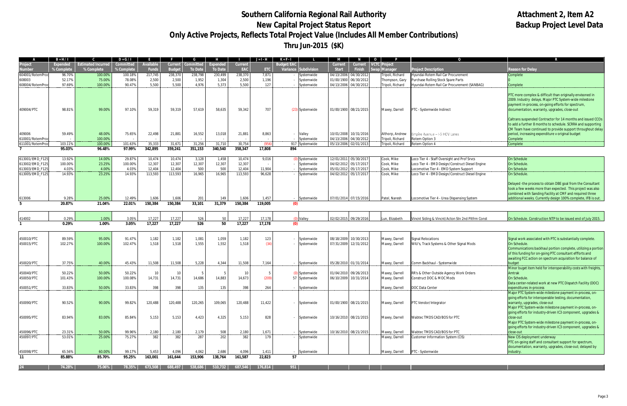# Southern California Regional Rail Authority **Altachment 2, Item A2**<br>New Capital Project Status Report **Authority Altachment 2, Item A2 New Capital Project Status Report Only Active Projects, Reflects Total Project Value (Includes All Member Contributions) Thru Jun-2015 (\$K)**

|                                   | B = H / I            |                           | $D = G/I$             |                         |                          |                           |                           |                  | Jack,           | $K = F - I$                        |                                       |                          | $\mathbf{O}$ |                                     | $\Omega$                                                  |                                                                                                                            |
|-----------------------------------|----------------------|---------------------------|-----------------------|-------------------------|--------------------------|---------------------------|---------------------------|------------------|-----------------|------------------------------------|---------------------------------------|--------------------------|--------------|-------------------------------------|-----------------------------------------------------------|----------------------------------------------------------------------------------------------------------------------------|
| Project                           | <b>Expended</b>      | <b>Estimated Incurred</b> | Committed             | Available               | Current                  | <b>Committed</b>          | Expended                  | Current          |                 | <b>Budget/EAC</b>                  | <b>Current</b>                        | Current   VCTC   Project |              |                                     |                                                           |                                                                                                                            |
| <b>\umber</b><br>604001/RotemProc | % Complete<br>96.70% | % Complete<br>100.00%     | % Complete<br>100.18% | <b>Funds</b><br>217,745 | <b>Budget</b><br>238,370 | <b>To Date</b><br>238,798 | <b>To Date</b><br>230,499 | EAC<br>238,370   | ETC<br>7,871    | Variance Subdivision<br>Systemwide | <b>Start</b><br>04/13/2006 04/30/2012 | Finish                   | Swap Manager | Tripoli, Richard                    | Project Description<br>Hyundai-Rotem Rail Car Procurement | <b>Reason for Delay</b><br>Complete                                                                                        |
| 608003                            | 52.17%               | 75.00%                    | 78.08%                | 2,500                   | 2,500                    | 1,952                     | 1,304                     | 2,500            | 1,196           | Systemwide                         | 01/00/1900 06/30/2012                 |                          |              | Thompson, Gary                      | Purchase Rolling Stock Spare Parts                        |                                                                                                                            |
| 608004/RotemPro                   | 97.69%               | 100.00%                   | 90.47%                | 5,500                   | 5,500                    | 4,976                     | 5,373                     | 5,500            | 127             | Systemwide                         | 04/13/2006 04/30/2012                 |                          |              | Tripoli, Richard                    | Hyundai-Rotem Rail Car Procurement (SANBAG)               | Complete                                                                                                                   |
|                                   |                      |                           |                       |                         |                          |                           |                           |                  |                 |                                    |                                       |                          |              |                                     |                                                           |                                                                                                                            |
|                                   |                      |                           |                       |                         |                          |                           |                           |                  |                 |                                    |                                       |                          |              |                                     |                                                           | PTC more complex & difficult than originally envisoned in                                                                  |
|                                   |                      |                           |                       |                         |                          |                           |                           |                  |                 |                                    |                                       |                          |              |                                     |                                                           | 2009. Industry delays. Major PTC System-wide milestone<br>payment in-process, on-going efforts for spectrum,               |
| 409004/PTC                        | 98.819               | 99.00%                    | 97.10%                | 59,319                  | 59,319                   | 57,619                    | 58,635                    | 59,342           | 707             | (23) Systemwide                    | 01/00/1900 08/21/2015                 |                          |              | Maxey, Darrell                      | PTC - Systemwide Indirect                                 | documentation, warranty, upgrades, close-out                                                                               |
|                                   |                      |                           |                       |                         |                          |                           |                           |                  |                 |                                    |                                       |                          |              |                                     |                                                           |                                                                                                                            |
|                                   |                      |                           |                       |                         |                          |                           |                           |                  |                 |                                    |                                       |                          |              |                                     |                                                           | Caltrans suspended Contractor for 14 months and issued CCOs                                                                |
|                                   |                      |                           |                       |                         |                          |                           |                           |                  |                 |                                    |                                       |                          |              |                                     |                                                           | to add a further 8 months to schedule. SCRRA and supporting                                                                |
|                                   | 59.49%               | 48.00%                    |                       | 22,498                  |                          |                           |                           |                  |                 |                                    | 10/01/2008 10/31/2016                 |                          |              |                                     | Empire Avenue - I-5 HOV Lanes                             | CM Team have continued to provide support throughout delay<br>period, increasing expenditure v original budget             |
| 409006<br>610001/RotemProd        |                      | 100.00%                   | 75.65%                |                         | 21,881                   | 16,552                    | 13,018                    | 21,881           | 8,863           | Valley<br>Systemwide               | 04/13/2006 04/30/2012                 |                          |              | Althorp, Andrew<br>Tripoli, Richard | Rotem Option 3                                            | Complete                                                                                                                   |
| 611001/RotemPro                   | 103.11               | 100.00%                   | 101.63%               | 35,333                  | 31,671                   | 31,256                    | 31,710                    | 30,754           | (956)           | 917 Systemwide                     | 05/13/2006 02/01/2013                 |                          |              | Tripoli, Richard                    | Rotem Option 4                                            | Complete                                                                                                                   |
|                                   | 95.03%               | 96.48%                    | 97.99%                | 342,895                 | 359,241                  | 351,153                   | 340,540                   | 358,347          | 17,808          | 894                                |                                       |                          |              |                                     |                                                           |                                                                                                                            |
| 613001/EMD_F12                    | 13.92%               | 14.00%                    | 29.87%                | 10,474                  | 10,474                   | 3,128                     | 1,458                     | 10,474           | 9,016           | Systemwide                         | 12/01/2011 05/30/2017                 |                          |              | Cook, Mike                          | Loco Tier 4 - Staff Oversight and Prof Srvcs              | On Schedule                                                                                                                |
| 613002/EMD_F12                    | 100.00%              | 23.25%                    | 100.00%               | 12,307                  | 12,307                   | 12,307                    | 12,307                    | 12,307           |                 | Systemwide                         | 04/02/2012 05/17/2017                 |                          |              | Cook, Mike                          | Loco Tier 4 - EMD Design/Construct Diesel Engine          | On Schedule                                                                                                                |
| 613003/EMD_F12                    | 4.03%                | 4.00%                     | 4.03%                 | 12,404                  | 12,404                   | 500                       | 500                       | 12,404           | 11,904          | Systemwide                         | 05/01/2012 05/17/2017                 |                          |              | Cook, Mike                          | Locomotive Tier 4 - EMD System Support                    | On Schedule                                                                                                                |
| 613005/EMD F125                   | 14.93%               | 23.25%                    | 14.93%                | 113,593                 | 113,593                  | 16,965                    | 16,965                    | 113,593          | 96,628          | Systemwide                         | 04/02/2012 05/17/2017                 |                          |              | Cook, Mike                          | Loco Tier 4 - EMD Design/Construct Diesel Engine          | On Schedule                                                                                                                |
|                                   |                      |                           |                       |                         |                          |                           |                           |                  |                 |                                    |                                       |                          |              |                                     |                                                           |                                                                                                                            |
|                                   |                      |                           |                       |                         |                          |                           |                           |                  |                 |                                    |                                       |                          |              |                                     |                                                           | Delayed - the process to obtain DBE goal from the Consultant<br>took a few weeks more than expected. This project was also |
|                                   |                      |                           |                       |                         |                          |                           |                           |                  |                 |                                    |                                       |                          |              |                                     |                                                           | combined with Sanding Facility at CMF and required three                                                                   |
| 613006                            | 9.28%                | 25.00%                    | 12.49%                | 1,606                   | 1.606                    | 201                       | 149                       | 1,606            | 1,457           | Systemwide                         | 07/01/2014 07/15/2016                 |                          |              | Patel, Naresh                       | Locomotive Tier 4 - Urea Dispensing System                | additional weeks. Currently design 100% complete, IFB is out.                                                              |
| -5                                | 20.87%               | 21.04%                    | 22.01%                | 150,384                 | 150,384                  | 33,101                    | 31,379                    | 150,384          | 119,005         | (0)                                |                                       |                          |              |                                     |                                                           |                                                                                                                            |
|                                   |                      |                           |                       |                         |                          |                           |                           |                  |                 |                                    |                                       |                          |              |                                     |                                                           |                                                                                                                            |
| 414002                            | 0.29%                | 1.00%                     | 3.05%                 | 17,227                  | 17,227                   | 526                       | 50                        | 17,227           | 17,178          | Valley                             | 02/02/2015 09/29/2016                 |                          |              | Lun, Elizabeth                      | Vincnt Siding & Vincnt/Acton Stn 2nd Pltfrm Const         | On Schedule. Construction NTP to be issued end of July 2015.                                                               |
|                                   | 0.29%                | 1.00%                     | 3.05%                 | 17.227                  | 17,227                   | 526                       | 50                        | 17,227           | 17,178          | (0)                                |                                       |                          |              |                                     |                                                           |                                                                                                                            |
|                                   |                      |                           |                       |                         |                          |                           |                           |                  |                 |                                    |                                       |                          |              |                                     |                                                           |                                                                                                                            |
| 450010/PTC                        | 89.59%               | 95.00%                    | 91.47%                | 1,182                   | 1,182                    | 1,081                     | 1,059                     | 1,182            | 123             | Systemwide                         | 08/18/2009                            | 10/30/2013               |              | Maxey, Darrell                      | Signal Relocations                                        | Signal work associated with PTC is substantially complete.                                                                 |
| 450015/PTC                        | 102.27%              | 100.00%                   | 102.47%               | 1,518                   | 1,518                    | 1,555                     | 1,552                     | 1,518            | (34)            | Systemwide                         | 07/31/2009 12/31/2012                 |                          |              | Maxey, Darrell                      | WIU's, Track Systems & Other Signal Mods                  | <b>On Schedule</b>                                                                                                         |
|                                   |                      |                           |                       |                         |                          |                           |                           |                  |                 |                                    |                                       |                          |              |                                     |                                                           | Communications backhaul portion complete, utilizing a portion                                                              |
|                                   |                      |                           |                       |                         |                          |                           |                           |                  |                 |                                    |                                       |                          |              |                                     |                                                           | of this funding for on-going PTC consultant effforts and                                                                   |
|                                   | 37.75%               | 40.00%                    | 45.43%                | 11,508                  | 11,508                   | 5,228                     | 4,344                     | 11,508           | 7,164           |                                    | 05/28/2010 01/31/2014                 |                          |              |                                     | Comm Backhaul - Systemwide                                | awaiting FCC action on spectrum acquisition for balance of<br>oudget                                                       |
| 450020/PTC                        |                      |                           |                       |                         |                          |                           |                           |                  |                 | Systemwide                         |                                       |                          |              | Maxey, Darrell                      |                                                           | Minor buget item held for interoperability costs with freights,                                                            |
| 450040/PTC                        | 50.22%               | 50.00%                    | 50.22%                | 10                      | 10 <sup>°</sup>          |                           |                           | 10               |                 | Systemwide                         | 01/04/2010 09/26/2013                 |                          |              | Maxey, Darrell                      | RR's & Other Outside Agency Work Orders                   | Amtrak                                                                                                                     |
| 450050/PTC                        | 101.43%              | 100.00%                   | 100.08%               | 14,731                  | 14,731                   | 14,686                    | 14,883                    | 14,673           | (209)           | 57 Systemwide                      | 06/10/2009 10/31/2014                 |                          |              | Maxey, Darrell                      | Construct DOC & MOC Mods                                  | On Schedule                                                                                                                |
|                                   |                      |                           |                       |                         |                          |                           |                           |                  |                 |                                    |                                       |                          |              |                                     |                                                           | Data center-related work at new PTC Dispatch Facility (DOC)                                                                |
| 450051/PTC                        | 33.83%               | 50.00%                    | 33.83%                | 398                     | 398                      | 135                       | 135                       | 398              | 264             | Systemwide                         |                                       |                          |              | Maxey, Darrell                      | DOC Data Center                                           | expenditures in-process                                                                                                    |
|                                   |                      |                           |                       |                         |                          |                           |                           |                  |                 |                                    |                                       |                          |              |                                     |                                                           | Major PTC System-wide milestone payment in-process, on-<br>going efforts for interoperable testing, documentation,         |
| 450090/PTC                        | 90.52%               | 90.00%                    | 99.82%                | 120,488                 | 120,488                  | 120,265                   | 109,065                   | 120,488          | 11,422          | Systemwide                         | 01/00/1900 08/21/2015                 |                          |              | Maxey, Darrell                      | PTC Vendor/Integrator                                     | warranty, upgrades, close-out                                                                                              |
|                                   |                      |                           |                       |                         |                          |                           |                           |                  |                 |                                    |                                       |                          |              |                                     |                                                           | Major PTC System-wide milestone payment in-process, on-                                                                    |
|                                   |                      |                           |                       |                         |                          |                           |                           |                  |                 |                                    |                                       |                          |              |                                     |                                                           | going efforts for industry-driven IC3 component, upgrades &                                                                |
| 450095/PTC                        | 83.94%               | 83.00%                    | 85.84%                | 5,153                   | 5,153                    | 4,423                     | 4,325                     | 5,153            | 828             | Systemwide                         | 10/16/2010 08/21/2015                 |                          |              | Maxey, Darrell                      | Wabtec TMDS CAD/BOS for PTC                               | close-out                                                                                                                  |
|                                   |                      |                           |                       |                         |                          |                           |                           |                  |                 |                                    |                                       |                          |              |                                     |                                                           | Major PTC System-wide milestone payment in-process, on-<br>going efforts for industry-driven IC3 component, upgrades &     |
| 450096/PTC                        | 23.31%               | 50.00%                    | 99.96%                | 2,180                   | 2,180                    | 2,179                     | 508                       | 2,180            | 1,671           | Systemwide                         | 10/16/2010 08/21/2015                 |                          |              | Maxey, Darrell                      | Wabtec TMDS CAD/BOS for PTC                               | close-out                                                                                                                  |
| 450097/PTC                        | 53.01%               | 25.00%                    | 75.27%                | 382                     | 382                      | 287                       | 202                       | 382              | 179             | Systemwide                         |                                       |                          |              | Maxey, Darrell                      | Customer Information System (CIS)                         | New CIS deployment underway                                                                                                |
|                                   |                      |                           |                       |                         |                          |                           |                           |                  |                 |                                    |                                       |                          |              |                                     |                                                           | PTC on-going staff and consultant support for spectrum,                                                                    |
|                                   |                      |                           |                       |                         |                          |                           |                           |                  |                 |                                    |                                       |                          |              |                                     |                                                           | documentation, warranty, upgrades, close-out; delayed by                                                                   |
| 450098/PTC                        | 65.56%               | 60.00%<br>85.70%          | 99.17%<br>95.25%      | 5,453<br>163,001        | 4,096<br>161,644         | 4,062<br>153,906          | 2,686<br>138,764          | 4,096<br>161,587 | 1,411<br>22,823 | Systemwide<br>57                   |                                       |                          |              | Maxey, Darrell                      | PTC - Systemwide                                          | industry.                                                                                                                  |
| 11                                | 85.88%               |                           |                       |                         |                          |                           |                           |                  |                 |                                    |                                       |                          |              |                                     |                                                           |                                                                                                                            |
|                                   | 74.28%               | 75.06%                    | 78.35%                | 673,508                 | 688,497                  | 538,686                   | 510.732                   | 687,546          | 176,814         | 951                                |                                       |                          |              |                                     |                                                           |                                                                                                                            |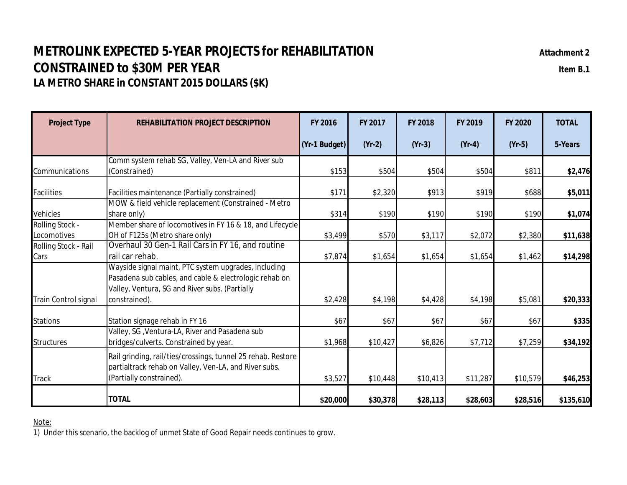# **METROLINK EXPECTED 5-YEAR PROJECTS for REHABILITATION Attachment 2 CONSTRAINED to \$30M PER YEAR IDEAL CONSTRAINED TO \$30M PER YEAR LA METRO SHARE in CONSTANT 2015 DOLLARS (\$K)**

**Project Type REHABILITATION PROJECT DESCRIPTION FY 2016 FY 2017 FY 2018 FY 2019 FY 2020 TOTAL (Yr-1 Budget) (Yr-2) (Yr-3) (Yr-4) (Yr-5) 5-Years** Communications Comm system rehab SG, Valley, Ven-LA and River sub (Constrained) \$153 \$504 \$504 \$504 \$811 **\$2,476** Facilities Facilities maintenance (Partially constrained) \$171 \$2,320 \$913 \$919 \$688 **\$5,011** Vehicles MOW & field vehicle replacement (Constrained - Metro share only) \$314 \$190 \$190 \$190 \$190 **\$1,074** Rolling Stock - **Locomotives** Member share of locomotives in FY 16 & 18, and Lifecycle OH of F125s (Metro share only) \$3,499 \$570 \$3,117 \$2,072 \$2,380 **\$11,638** Rolling Stock - Rail Cars Overhaul 30 Gen-1 Rail Cars in FY 16, and routine rail car rehab. \$7,874 \$1,654 \$1,654 \$1,654 \$1,462 **\$14,298** Train Control signal Wayside signal maint, PTC system upgrades, including Pasadena sub cables, and cable & electrologic rehab on Valley, Ventura, SG and River subs. (Partially constrained). \$2,428 \$4,198 \$4,428 \$4,198 \$5,081 **\$20,333** Stations Station signage rehab in FY 16 \$67 \$67 \$67 \$67 \$67 **\$335** Structures Valley, SG ,Ventura-LA, River and Pasadena sub bridges/culverts. Constrained by year. \$1,968 \$10,427 \$6,826 \$7,712 \$7,259 **\$34,192** Track Rail grinding, rail/ties/crossings, tunnel 25 rehab. Restore partialtrack rehab on Valley, Ven-LA, and River subs. (Partially constrained). \$3,527 \$10,448 \$10,413 \$11,287 \$10,579 **\$46,253 TOTAL \$20,000 \$30,378 \$28,113 \$28,603 \$28,516 \$135,610**

Note:

1) Under this scenario, the backlog of unmet State of Good Repair needs continues to grow.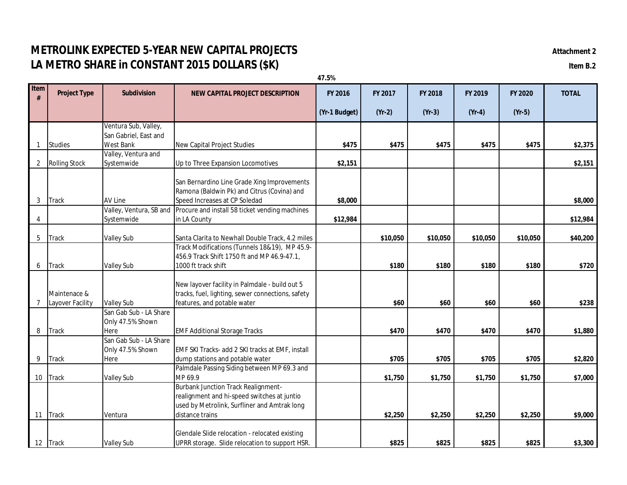# **METROLINK EXPECTED 5-YEAR NEW CAPITAL PROJECTS** *Attachment 2* **LA METRO SHARE in CONSTANT 2015 DOLLARS (\$K) Item B.2**

|                |                      |                          |                                                   | 47.5%         |          |          |          |          |              |
|----------------|----------------------|--------------------------|---------------------------------------------------|---------------|----------|----------|----------|----------|--------------|
| Item<br>#      | <b>Project Type</b>  | <b>Subdivision</b>       | <b>NEW CAPITAL PROJECT DESCRIPTION</b>            | FY 2016       | FY 2017  | FY 2018  | FY 2019  | FY 2020  | <b>TOTAL</b> |
|                |                      |                          |                                                   | (Yr-1 Budget) | $(Yr-2)$ | $(Yr-3)$ | $(Yr-4)$ | $(Yr-5)$ |              |
|                |                      | Ventura Sub, Valley,     |                                                   |               |          |          |          |          |              |
|                |                      | San Gabriel, East and    |                                                   |               |          |          |          |          |              |
| $\mathbf{1}$   | <b>Studies</b>       | <b>West Bank</b>         | New Capital Project Studies                       | \$475         | \$475    | \$475    | \$475    | \$475    | \$2,375      |
|                |                      | Valley, Ventura and      |                                                   |               |          |          |          |          |              |
| $\overline{2}$ | <b>Rolling Stock</b> | Systemwide               | Up to Three Expansion Locomotives                 | \$2,151       |          |          |          |          | \$2,151      |
|                |                      |                          | San Bernardino Line Grade Xing Improvements       |               |          |          |          |          |              |
|                |                      |                          | Ramona (Baldwin Pk) and Citrus (Covina) and       |               |          |          |          |          |              |
| 3              | Track                | AV Line                  | Speed Increases at CP Soledad                     | \$8,000       |          |          |          |          | \$8,000      |
|                |                      | Valley, Ventura, SB and  | Procure and install 58 ticket vending machines    |               |          |          |          |          |              |
| 4              |                      | Systemwide               | in LA County                                      | \$12,984      |          |          |          |          | \$12,984     |
|                |                      |                          |                                                   |               |          |          |          |          |              |
| 5              | Track                | <b>Valley Sub</b>        | Santa Clarita to Newhall Double Track, 4.2 miles  |               | \$10,050 | \$10,050 | \$10,050 | \$10,050 | \$40,200     |
|                |                      |                          | Track Modifications (Tunnels 18&19), MP 45.9-     |               |          |          |          |          |              |
|                |                      |                          | 456.9 Track Shift 1750 ft and MP 46.9-47.1,       |               |          |          |          |          |              |
| 6              | <b>Track</b>         | <b>Valley Sub</b>        | 1000 ft track shift                               |               | \$180    | \$180    | \$180    | \$180    | \$720        |
|                |                      |                          |                                                   |               |          |          |          |          |              |
|                |                      |                          | New layover facility in Palmdale - build out 5    |               |          |          |          |          |              |
|                | Maintenace &         |                          | tracks, fuel, lighting, sewer connections, safety |               |          |          |          |          |              |
| 7              | Layover Facility     | <b>Valley Sub</b>        | features, and potable water                       |               | \$60     | \$60     | \$60     | \$60     | \$238        |
|                |                      | San Gab Sub - LA Share   |                                                   |               |          |          |          |          |              |
|                |                      | Only 47.5% Shown         |                                                   |               |          |          |          |          |              |
| 8              | <b>Track</b>         | Here                     | <b>EMF Additional Storage Tracks</b>              |               | \$470    | \$470    | \$470    | \$470    | \$1,880      |
|                |                      | San Gab Sub - LA Share   | EMF SKI Tracks- add 2 SKI tracks at EMF, install  |               |          |          |          |          |              |
| 9              | Track                | Only 47.5% Shown<br>Here | dump stations and potable water                   |               | \$705    | \$705    | \$705    | \$705    | \$2,820      |
|                |                      |                          | Palmdale Passing Siding between MP 69.3 and       |               |          |          |          |          |              |
| 10             | Track                | <b>Valley Sub</b>        | MP 69.9                                           |               | \$1,750  | \$1,750  | \$1,750  | \$1,750  | \$7,000      |
|                |                      |                          | <b>Burbank Junction Track Realignment-</b>        |               |          |          |          |          |              |
|                |                      |                          | realignment and hi-speed switches at juntio       |               |          |          |          |          |              |
|                |                      |                          | used by Metrolink, Surfliner and Amtrak long      |               |          |          |          |          |              |
| 11             | <b>Track</b>         | Ventura                  | distance trains                                   |               | \$2,250  | \$2,250  | \$2,250  | \$2,250  | \$9,000      |
|                |                      |                          |                                                   |               |          |          |          |          |              |
|                |                      |                          | Glendale Slide relocation - relocated existing    |               |          |          |          |          |              |
|                | 12 Track             | <b>Valley Sub</b>        | UPRR storage. Slide relocation to support HSR.    |               | \$825    | \$825    | \$825    | \$825    | \$3,300      |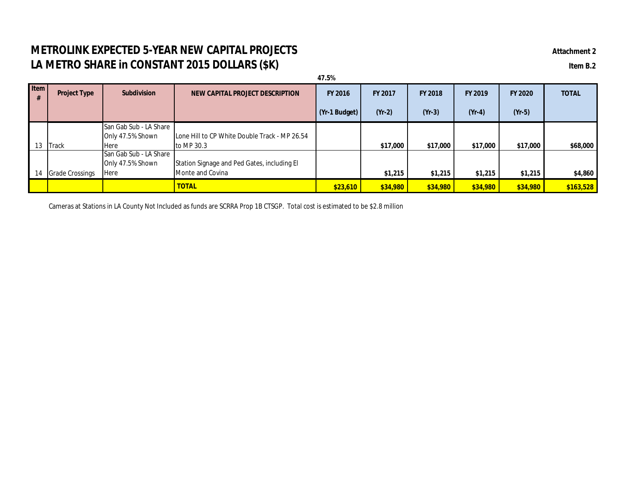# **METROLINK EXPECTED 5-YEAR NEW CAPITAL PROJECTS** *Attachment 2* **LA METRO SHARE in CONSTANT 2015 DOLLARS (\$K) Item B.2**

| 47.5%       |                        |                        |                                               |                       |          |                |                |                |              |
|-------------|------------------------|------------------------|-----------------------------------------------|-----------------------|----------|----------------|----------------|----------------|--------------|
| <b>Item</b> | <b>Project Type</b>    | <b>Subdivision</b>     | NEW CAPITAL PROJECT DESCRIPTION               | <b>FY 2016</b>        | FY 2017  | <b>FY 2018</b> | <b>FY 2019</b> | <b>FY 2020</b> | <b>TOTAL</b> |
|             |                        |                        |                                               | $\sqrt{(Yr-1)$ Budget | $(Yr-2)$ | $(Yr-3)$       | $(Yr-4)$       | $(Yr-5)$       |              |
|             |                        | San Gab Sub - LA Share |                                               |                       |          |                |                |                |              |
|             |                        | Only 47.5% Shown       | Lone Hill to CP White Double Track - MP 26.54 |                       |          |                |                |                |              |
| 13          | Track                  | <b>Here</b>            | to MP 30.3                                    |                       | \$17,000 | \$17,000       | \$17,000       | \$17,000       | \$68,000     |
|             |                        | San Gab Sub - LA Share |                                               |                       |          |                |                |                |              |
|             |                        | Only 47.5% Shown       | Station Signage and Ped Gates, including El   |                       |          |                |                |                |              |
| 14          | <b>Grade Crossings</b> | Here                   | Monte and Covina                              |                       | \$1,215  | \$1,215        | \$1,215        | \$1,215        | \$4,860      |
|             |                        |                        | <b>TOTAL</b>                                  | \$23,610              | \$34,980 | \$34,980       | \$34,980       | \$34,980       | \$163,528    |

Cameras at Stations in LA County Not Included as funds are SCRRA Prop 1B CTSGP. Total cost is estimated to be \$2.8 million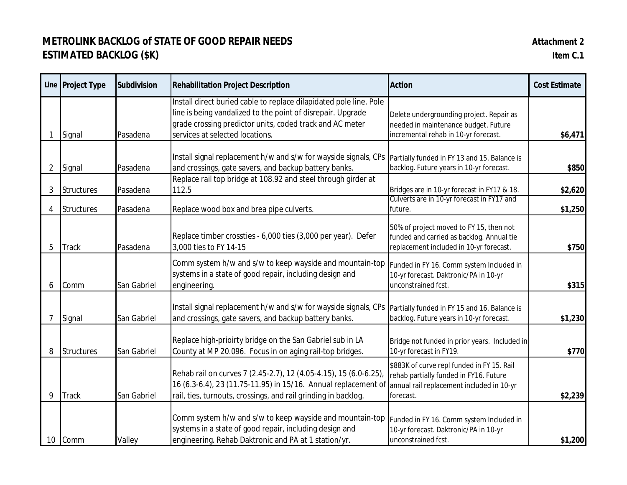# **METROLINK BACKLOG of STATE OF GOOD REPAIR NEEDS AND A STATE 2 ESTIMATED BACKLOG (\$K) Item C.1**

| Attachment 2 |
|--------------|
|--------------|

|                | Line Project Type | <b>Subdivision</b> | <b>Rehabilitation Project Description</b>                                                                                                                                                                                        | <b>Action</b>                                                                                                                                  | <b>Cost Estimate</b> |
|----------------|-------------------|--------------------|----------------------------------------------------------------------------------------------------------------------------------------------------------------------------------------------------------------------------------|------------------------------------------------------------------------------------------------------------------------------------------------|----------------------|
|                | Signal            | Pasadena           | Install direct buried cable to replace dilapidated pole line. Pole<br>line is being vandalized to the point of disrepair. Upgrade<br>grade crossing predictor units, coded track and AC meter<br>services at selected locations. | Delete undergrounding project. Repair as<br>needed in maintenance budget. Future<br>incremental rehab in 10-yr forecast.                       | \$6,471              |
| $\overline{2}$ | Signal            | Pasadena           | Install signal replacement h/w and s/w for wayside signals, CPs   Partially funded in FY 13 and 15. Balance is<br>and crossings, gate savers, and backup battery banks.                                                          | backlog. Future years in 10-yr forecast.                                                                                                       | \$850                |
| 3              | <b>Structures</b> | Pasadena           | Replace rail top bridge at 108.92 and steel through girder at<br>112.5                                                                                                                                                           | Bridges are in 10-yr forecast in FY17 & 18.                                                                                                    | \$2,620              |
| 4              | <b>Structures</b> | Pasadena           | Replace wood box and brea pipe culverts.                                                                                                                                                                                         | Culverts are in 10-yr forecast in FY17 and<br>future.                                                                                          | \$1,250              |
| 5              | <b>Track</b>      | Pasadena           | Replace timber crossties - 6,000 ties (3,000 per year). Defer<br>3,000 ties to FY 14-15                                                                                                                                          | 50% of project moved to FY 15, then not<br>funded and carried as backlog. Annual tie<br>replacement included in 10-yr forecast.                | \$750                |
| 6              | Comm              | San Gabriel        | Comm system h/w and s/w to keep wayside and mountain-top<br>systems in a state of good repair, including design and<br>engineering.                                                                                              | Funded in FY 16. Comm system Included in<br>10-yr forecast. Daktronic/PA in 10-yr<br>unconstrained fcst.                                       | \$315                |
|                | Signal            | San Gabriel        | Install signal replacement h/w and s/w for wayside signals, CPs Partially funded in FY 15 and 16. Balance is<br>and crossings, gate savers, and backup battery banks.                                                            | backlog. Future years in 10-yr forecast.                                                                                                       | \$1,230              |
| 8              | <b>Structures</b> | San Gabriel        | Replace high-prioirty bridge on the San Gabriel sub in LA<br>County at MP 20.096. Focus in on aging rail-top bridges.                                                                                                            | Bridge not funded in prior years. Included in<br>10-yr forecast in FY19.                                                                       | \$770                |
| 9              | <b>Track</b>      | San Gabriel        | Rehab rail on curves 7 (2.45-2.7), 12 (4.05-4.15), 15 (6.0-6.25),<br>16 (6.3-6.4), 23 (11.75-11.95) in 15/16. Annual replacement of<br>rail, ties, turnouts, crossings, and rail grinding in backlog.                            | \$883K of curve repl funded in FY 15. Rail<br>rehab partially funded in FY16. Future<br>annual rail replacement included in 10-yr<br>forecast. | \$2,239              |
| 10             | Comm              | Valley             | Comm system h/w and s/w to keep wayside and mountain-top Funded in FY 16. Comm system Included in<br>systems in a state of good repair, including design and<br>engineering. Rehab Daktronic and PA at 1 station/yr.             | 10-yr forecast. Daktronic/PA in 10-yr<br>unconstrained fcst.                                                                                   | \$1,200              |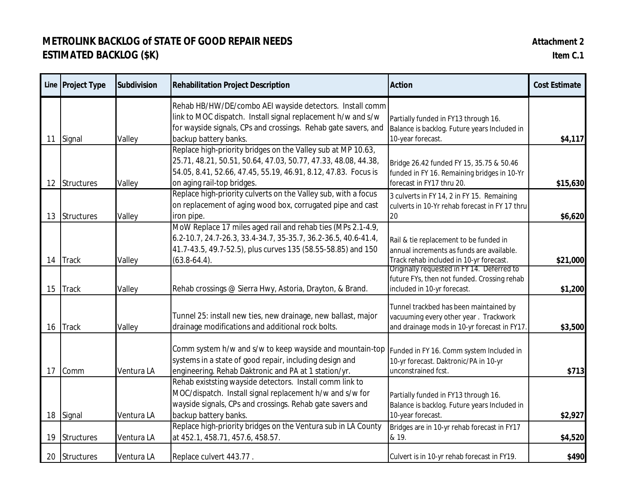# **METROLINK BACKLOG of STATE OF GOOD REPAIR NEEDS Attachment 2 ESTIMATED BACKLOG (\$K) Item C.1**

|    | Line Project Type | <b>Subdivision</b> | <b>Rehabilitation Project Description</b>                                                                                                                                                                                      | <b>Action</b>                                                                                                                  | <b>Cost Estimate</b> |
|----|-------------------|--------------------|--------------------------------------------------------------------------------------------------------------------------------------------------------------------------------------------------------------------------------|--------------------------------------------------------------------------------------------------------------------------------|----------------------|
| 11 | Signal            | Valley             | Rehab HB/HW/DE/combo AEI wayside detectors. Install comm<br>link to MOC dispatch. Install signal replacement h/w and s/w<br>for wayside signals, CPs and crossings. Rehab gate savers, and<br>backup battery banks.            | Partially funded in FY13 through 16.<br>Balance is backlog. Future years Included in<br>10-year forecast.                      | \$4,117              |
| 12 | Structures        | Valley             | Replace high-priority bridges on the Valley sub at MP 10.63,<br>25.71, 48.21, 50.51, 50.64, 47.03, 50.77, 47.33, 48.08, 44.38,<br>54.05, 8.41, 52.66, 47.45, 55.19, 46.91, 8.12, 47.83. Focus is<br>on aging rail-top bridges. | Bridge 26.42 funded FY 15, 35.75 & 50.46<br>funded in FY 16. Remaining bridges in 10-Yr<br>forecast in FY17 thru 20.           | \$15,630             |
| 13 | Structures        | Valley             | Replace high-priority culverts on the Valley sub, with a focus<br>on replacement of aging wood box, corrugated pipe and cast<br>iron pipe.                                                                                     | 3 culverts in FY 14, 2 in FY 15. Remaining<br>culverts in 10-Yr rehab forecast in FY 17 thru<br>20                             | \$6,620              |
| 14 | <b>Track</b>      | Valley             | MoW Replace 17 miles aged rail and rehab ties (MPs 2.1-4.9,<br>6.2-10.7, 24.7-26.3, 33.4-34.7, 35-35.7, 36.2-36.5, 40.6-41.4,<br>41.7-43.5, 49.7-52.5), plus curves 135 (58.55-58.85) and 150<br>$(63.8-64.4).$                | Rail & tie replacement to be funded in<br>annual increments as funds are available.<br>Track rehab included in 10-yr forecast. | \$21,000             |
| 15 | <b>Track</b>      | Valley             | Rehab crossings @ Sierra Hwy, Astoria, Drayton, & Brand.                                                                                                                                                                       | Originally requested in FY 14. Deferred to<br>future FYs, then not funded. Crossing rehab<br>included in 10-yr forecast.       | \$1,200              |
| 16 | <b>Track</b>      | Valley             | Tunnel 25: install new ties, new drainage, new ballast, major<br>drainage modifications and additional rock bolts.                                                                                                             | Tunnel trackbed has been maintained by<br>vacuuming every other year. Trackwork<br>and drainage mods in 10-yr forecast in FY17 | \$3,500              |
| 17 | Comm              | Ventura LA         | Comm system h/w and s/w to keep wayside and mountain-top Funded in FY 16. Comm system Included in<br>systems in a state of good repair, including design and<br>engineering. Rehab Daktronic and PA at 1 station/yr.           | 10-yr forecast. Daktronic/PA in 10-yr<br>unconstrained fcst.                                                                   | \$713                |
|    | 18 Signal         | Ventura LA         | Rehab existsting wayside detectors. Install comm link to<br>MOC/dispatch. Install signal replacement h/w and s/w for<br>wayside signals, CPs and crossings. Rehab gate savers and<br>backup battery banks.                     | Partially funded in FY13 through 16.<br>Balance is backlog. Future years Included in<br>10-year forecast.                      | \$2,927              |
| 19 | Structures        | Ventura LA         | Replace high-priority bridges on the Ventura sub in LA County<br>at 452.1, 458.71, 457.6, 458.57.                                                                                                                              | Bridges are in 10-yr rehab forecast in FY17<br>& 19.                                                                           | \$4,520              |
|    | 20 Structures     | Ventura LA         | Replace culvert 443.77.                                                                                                                                                                                                        | Culvert is in 10-yr rehab forecast in FY19.                                                                                    | \$490                |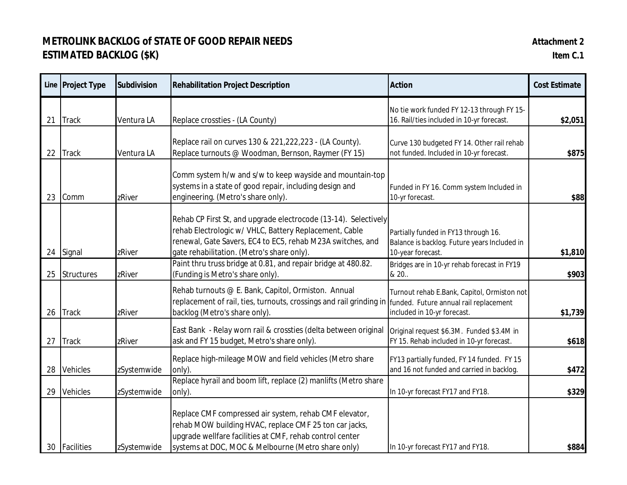# **METROLINK BACKLOG of STATE OF GOOD REPAIR NEEDS Attachment 2 ESTIMATED BACKLOG (\$K) Item C.1**

|    | Line Project Type | <b>Subdivision</b> | <b>Rehabilitation Project Description</b>                                                                                                                                                                                             | <b>Action</b>                                                                                             | <b>Cost Estimate</b> |
|----|-------------------|--------------------|---------------------------------------------------------------------------------------------------------------------------------------------------------------------------------------------------------------------------------------|-----------------------------------------------------------------------------------------------------------|----------------------|
| 21 | <b>Track</b>      | Ventura LA         | Replace crossties - (LA County)                                                                                                                                                                                                       | No tie work funded FY 12-13 through FY 15-<br>16. Rail/ties included in 10-yr forecast.                   | \$2,051              |
| 22 | <b>Track</b>      | Ventura LA         | Replace rail on curves 130 & 221, 222, 223 - (LA County).<br>Replace turnouts @ Woodman, Bernson, Raymer (FY 15)                                                                                                                      | Curve 130 budgeted FY 14. Other rail rehab<br>not funded. Included in 10-yr forecast.                     | \$875                |
| 23 | Comm              | zRiver             | Comm system h/w and s/w to keep wayside and mountain-top<br>systems in a state of good repair, including design and<br>engineering. (Metro's share only).                                                                             | Funded in FY 16. Comm system Included in<br>10-yr forecast.                                               | \$88                 |
| 24 | Signal            | zRiver             | Rehab CP First St, and upgrade electrocode (13-14). Selectively<br>rehab Electrologic w/ VHLC, Battery Replacement, Cable<br>renewal, Gate Savers, EC4 to EC5, rehab M23A switches, and<br>gate rehabilitation. (Metro's share only). | Partially funded in FY13 through 16.<br>Balance is backlog. Future years Included in<br>10-year forecast. | \$1,810              |
| 25 | Structures        | zRiver             | Paint thru truss bridge at 0.81, and repair bridge at 480.82.<br>(Funding is Metro's share only).                                                                                                                                     | Bridges are in 10-yr rehab forecast in FY19<br>& 20                                                       | \$903                |
| 26 | <b>Track</b>      | zRiver             | Rehab turnouts @ E. Bank, Capitol, Ormiston. Annual<br>replacement of rail, ties, turnouts, crossings and rail grinding in funded. Future annual rail replacement<br>backlog (Metro's share only).                                    | Turnout rehab E.Bank, Capitol, Ormiston not<br>included in 10-yr forecast.                                | \$1,739              |
| 27 | <b>Track</b>      | zRiver             | East Bank - Relay worn rail & crossties (delta between original<br>ask and FY 15 budget, Metro's share only).                                                                                                                         | Original request \$6.3M. Funded \$3.4M in<br>FY 15. Rehab included in 10-yr forecast.                     | \$618                |
| 28 | <b>Vehicles</b>   | zSystemwide        | Replace high-mileage MOW and field vehicles (Metro share<br>only).                                                                                                                                                                    | FY13 partially funded, FY 14 funded. FY 15<br>and 16 not funded and carried in backlog.                   | \$472                |
| 29 | <b>Vehicles</b>   | zSystemwide        | Replace hyrail and boom lift, replace (2) manlifts (Metro share<br>only).                                                                                                                                                             | In 10-yr forecast FY17 and FY18.                                                                          | \$329                |
| 30 | Facilities        | zSystemwide        | Replace CMF compressed air system, rehab CMF elevator,<br>rehab MOW building HVAC, replace CMF 25 ton car jacks,<br>upgrade wellfare facilities at CMF, rehab control center<br>systems at DOC, MOC & Melbourne (Metro share only)    | In 10-yr forecast FY17 and FY18.                                                                          | \$884                |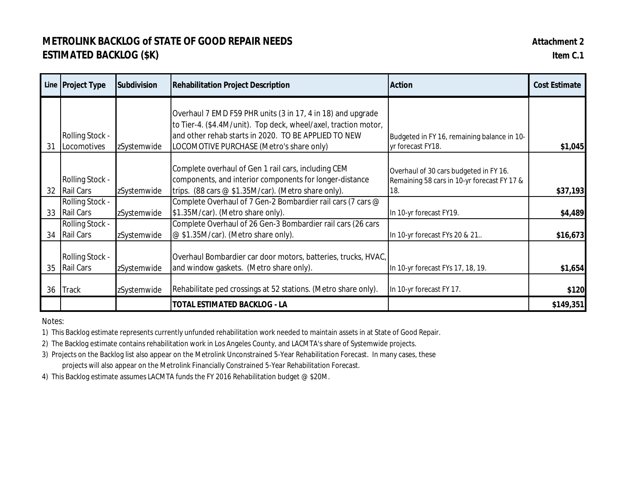## **METROLINK BACKLOG of STATE OF GOOD REPAIR NEEDS Attachment 2 ESTIMATED BACKLOG (\$K) Item C.1**

|    | Line Project Type                          | <b>Subdivision</b> | <b>Rehabilitation Project Description</b>                                                                                                                                                                                          | <b>Action</b>                                                                                | <b>Cost Estimate</b> |
|----|--------------------------------------------|--------------------|------------------------------------------------------------------------------------------------------------------------------------------------------------------------------------------------------------------------------------|----------------------------------------------------------------------------------------------|----------------------|
| 31 | <b>Rolling Stock -</b><br>Locomotives      | zSystemwide        | Overhaul 7 EMD F59 PHR units (3 in 17, 4 in 18) and upgrade<br>to Tier-4. (\$4.4M/unit). Top deck, wheel/axel, traction motor,<br>and other rehab starts in 2020. TO BE APPLIED TO NEW<br>LOCOMOTIVE PURCHASE (Metro's share only) | Budgeted in FY 16, remaining balance in 10-<br>yr forecast FY18.                             | \$1,045              |
| 32 | <b>Rolling Stock -</b><br><b>Rail Cars</b> | zSystemwide        | Complete overhaul of Gen 1 rail cars, including CEM<br>components, and interior components for longer-distance<br>trips. (88 cars @ \$1.35M/car). (Metro share only).                                                              | Overhaul of 30 cars budgeted in FY 16.<br>Remaining 58 cars in 10-yr forecast FY 17 &<br>18. | \$37,193             |
| 33 | Rolling Stock -<br><b>Rail Cars</b>        | zSystemwide        | Complete Overhaul of 7 Gen-2 Bombardier rail cars (7 cars @<br>\$1.35M/car). (Metro share only).                                                                                                                                   | In 10-yr forecast FY19.                                                                      | \$4,489              |
| 34 | <b>Rolling Stock -</b><br><b>Rail Cars</b> | zSystemwide        | Complete Overhaul of 26 Gen-3 Bombardier rail cars (26 cars<br>@ \$1.35M/car). (Metro share only).                                                                                                                                 | In 10-yr forecast FYs 20 & 21                                                                | \$16,673             |
| 35 | <b>Rolling Stock -</b><br><b>Rail Cars</b> | zSystemwide        | Overhaul Bombardier car door motors, batteries, trucks, HVAC,<br>and window gaskets. (Metro share only).                                                                                                                           | In 10-yr forecast FYs 17, 18, 19.                                                            | \$1,654              |
| 36 | <b>Track</b>                               | zSystemwide        | Rehabilitate ped crossings at 52 stations. (Metro share only).                                                                                                                                                                     | In 10-yr forecast FY 17.                                                                     | \$120                |
|    |                                            |                    | <b>TOTAL ESTIMATED BACKLOG - LA</b>                                                                                                                                                                                                |                                                                                              | \$149,351            |

Notes:

1) This Backlog estimate represents currently unfunded rehabilitation work needed to maintain assets in at State of Good Repair.

2) The Backlog estimate contains rehabilitation work in Los Angeles County, and LACMTA's share of Systemwide projects.

3) Projects on the Backlog list also appear on the Metrolink Unconstrained 5-Year Rehabilitation Forecast. In many cases, these projects will also appear on the Metrolink Financially Constrained 5-Year Rehabilitation Forecast.

4) This Backlog estimate assumes LACMTA funds the FY 2016 Rehabilitation budget @ \$20M.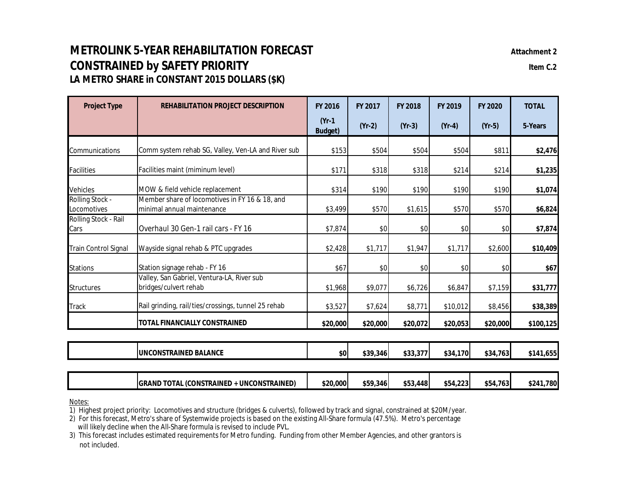# **METROLINK 5-YEAR REHABILITATION FORECAST** *Attachment 2* **CONSTRAINED by SAFETY PRIORITY Item C.2 LA METRO SHARE in CONSTANT 2015 DOLLARS (\$K)**

| <b>Project Type</b>            | <b>REHABILITATION PROJECT DESCRIPTION</b>                                    | <b>FY 2016</b><br>FY 2017  |          | FY 2018  | FY 2019  | FY 2020  | <b>TOTAL</b> |
|--------------------------------|------------------------------------------------------------------------------|----------------------------|----------|----------|----------|----------|--------------|
|                                |                                                                              | $(Yr-1)$<br><b>Budget)</b> | $(Yr-2)$ | $(Yr-3)$ | $(Yr-4)$ | $(Yr-5)$ | 5-Years      |
| Communications                 | Comm system rehab SG, Valley, Ven-LA and River sub                           | \$153                      | \$504    | \$504    | \$504    | \$811    | \$2,476      |
| <b>Facilities</b>              | Facilities maint (miminum level)                                             | \$171                      | \$318    | \$318    | \$214    | \$214    | \$1,235      |
| Vehicles                       | MOW & field vehicle replacement                                              | \$314                      | \$190    | \$190    | \$190    | \$190    | \$1,074      |
| Rolling Stock -<br>Locomotives | Member share of locomotives in FY 16 & 18, and<br>minimal annual maintenance | \$3,499                    | \$570    | \$1,615  | \$570    | \$570    | \$6,824      |
| Rolling Stock - Rail<br>Cars   | Overhaul 30 Gen-1 rail cars - FY 16                                          | \$7,874                    | \$0      | \$0      | \$0      | \$0      | \$7,874      |
| <b>Train Control Signal</b>    | Wayside signal rehab & PTC upgrades                                          | \$2,428                    | \$1,717  | \$1,947  | \$1,717  | \$2,600  | \$10,409     |
| <b>Stations</b>                | Station signage rehab - FY 16                                                | \$67                       | \$0      | \$0      | \$0      | \$0      | \$67         |
| Structures                     | Valley, San Gabriel, Ventura-LA, River sub<br>bridges/culvert rehab          | \$1,968                    | \$9,077  | \$6,726  | \$6,847  | \$7,159  | \$31,777     |
| <b>Track</b>                   | Rail grinding, rail/ties/crossings, tunnel 25 rehab                          | \$3,527                    | \$7,624  | \$8,771  | \$10,012 | \$8,456  | \$38,389     |
|                                | TOTAL FINANCIALLY CONSTRAINED                                                | \$20,000                   | \$20,000 | \$20,072 | \$20,053 | \$20,000 | \$100,125    |
|                                |                                                                              |                            |          |          |          |          |              |
|                                | <b>UNCONSTRAINED BALANCE</b>                                                 | \$0                        | \$39,346 | \$33,377 | \$34,170 | \$34,763 | \$141,655    |
|                                | <b>GRAND TOTAL (CONSTRAINED + UNCONSTRAINED)</b>                             | \$20,000                   | \$59,346 | \$53,448 | \$54,223 | \$54,763 | \$241,780    |

Notes:

1) Highest project priority: Locomotives and structure (bridges & culverts), followed by track and signal, constrained at \$20M/year.

2) For this forecast, Metro's share of Systemwide projects is based on the existing All-Share formula (47.5%). Metro's percentage will likely decline when the All-Share formula is revised to include PVL.

3) This forecast includes estimated requirements for Metro funding. Funding from other Member Agencies, and other grantors is not included.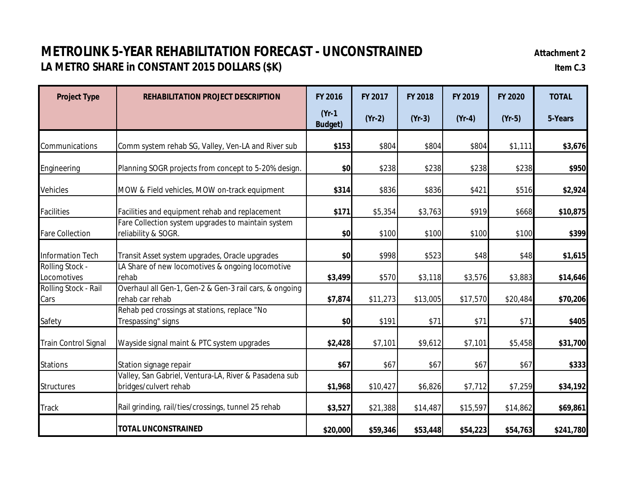# **METROLINK 5-YEAR REHABILITATION FORECAST - UNCONSTRAINED Attachment 2 LA METRO SHARE in CONSTANT 2015 DOLLARS (\$K) Item C.3**

| <b>Project Type</b>            | <b>FY 2016</b><br><b>REHABILITATION PROJECT DESCRIPTION</b>                    |                            | FY 2017  | FY 2018  | FY 2019  | FY 2020  | <b>TOTAL</b> |
|--------------------------------|--------------------------------------------------------------------------------|----------------------------|----------|----------|----------|----------|--------------|
|                                |                                                                                | $(Yr-1)$<br><b>Budget)</b> | $(Yr-2)$ | $(Yr-3)$ | $(Yr-4)$ | $(Yr-5)$ | 5-Years      |
| Communications                 | Comm system rehab SG, Valley, Ven-LA and River sub                             | \$153                      | \$804    | \$804    | \$804    | \$1,111  | \$3,676      |
| Engineering                    | Planning SOGR projects from concept to 5-20% design.                           | \$0                        | \$238    | \$238    | \$238    | \$238    | \$950        |
| Vehicles                       | MOW & Field vehicles, MOW on-track equipment                                   | \$314                      | \$836    | \$836    | \$421    | \$516    | \$2,924      |
| <b>Facilities</b>              | Facilities and equipment rehab and replacement                                 | \$171                      | \$5,354  | \$3,763  | \$919    | \$668    | \$10,875     |
| Fare Collection                | Fare Collection system upgrades to maintain system<br>reliability & SOGR.      | \$0                        | \$100    | \$100    | \$100    | \$100    | \$399        |
| <b>Information Tech</b>        | Transit Asset system upgrades, Oracle upgrades                                 | \$0                        | \$998    | \$523    | \$48     | \$48     | \$1,615      |
| Rolling Stock -<br>Locomotives | LA Share of new locomotives & ongoing locomotive<br>rehab                      | \$3,499                    | \$570    | \$3,118  | \$3,576  | \$3,883  | \$14,646     |
| Rolling Stock - Rail<br>Cars   | Overhaul all Gen-1, Gen-2 & Gen-3 rail cars, & ongoing<br>rehab car rehab      | \$7,874                    | \$11,273 | \$13,005 | \$17,570 | \$20,484 | \$70,206     |
| Safety                         | Rehab ped crossings at stations, replace "No<br>Trespassing" signs             | \$0                        | \$191    | \$71     | \$71     | \$71     | \$405        |
| <b>Train Control Signal</b>    | Wayside signal maint & PTC system upgrades                                     | \$2,428                    | \$7,101  | \$9,612  | \$7,101  | \$5,458  | \$31,700     |
| <b>Stations</b>                | Station signage repair                                                         | \$67                       | \$67     | \$67     | \$67     | \$67     | \$333        |
| <b>Structures</b>              | Valley, San Gabriel, Ventura-LA, River & Pasadena sub<br>bridges/culvert rehab | \$1,968                    | \$10,427 | \$6,826  | \$7,712  | \$7,259  | \$34,192     |
| <b>Track</b>                   | Rail grinding, rail/ties/crossings, tunnel 25 rehab                            | \$3,527                    | \$21,388 | \$14,487 | \$15,597 | \$14,862 | \$69,861     |
|                                | <b>TOTAL UNCONSTRAINED</b>                                                     | \$20,000                   | \$59,346 | \$53,448 | \$54,223 | \$54,763 | \$241,780    |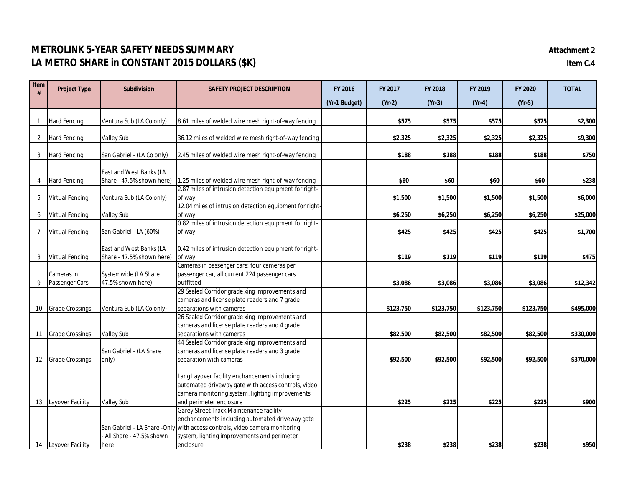## **METROLINK 5-YEAR SAFETY NEEDS SUMMARY Attachment 2 LA METRO SHARE in CONSTANT 2015 DOLLARS (\$K) Item C.4**

| Item            | <b>Project Type</b>    | <b>Subdivision</b>         | <b>SAFETY PROJECT DESCRIPTION</b>                                                                                                                       | FY 2016       | FY 2017   | FY 2018   | FY 2019   | FY 2020   | <b>TOTAL</b> |
|-----------------|------------------------|----------------------------|---------------------------------------------------------------------------------------------------------------------------------------------------------|---------------|-----------|-----------|-----------|-----------|--------------|
|                 |                        |                            |                                                                                                                                                         | (Yr-1 Budget) | $(Yr-2)$  | $(Yr-3)$  | $(Yr-4)$  | $(Yr-5)$  |              |
|                 |                        |                            |                                                                                                                                                         |               |           |           |           |           |              |
| $\mathbf{1}$    | <b>Hard Fencing</b>    | Ventura Sub (LA Co only)   | 8.61 miles of welded wire mesh right-of-way fencing                                                                                                     |               | \$575     | \$575     | \$575     | \$575     | \$2,300      |
| 2               | <b>Hard Fencing</b>    | <b>Valley Sub</b>          | 36.12 miles of welded wire mesh right-of-way fencing                                                                                                    |               | \$2,325   | \$2,325   | \$2,325   | \$2,325   | \$9,300      |
| 3               | <b>Hard Fencing</b>    | San Gabriel - (LA Co only) | 2.45 miles of welded wire mesh right-of-way fencing                                                                                                     |               | \$188     | \$188     | \$188     | \$188     | \$750        |
|                 |                        | East and West Banks (LA    |                                                                                                                                                         |               |           |           |           |           |              |
| 4               | <b>Hard Fencing</b>    | Share - 47.5% shown here)  | 1.25 miles of welded wire mesh right-of-way fencing<br>2.87 miles of intrusion detection equipment for right-                                           |               | \$60      | \$60      | \$60      | \$60      | \$238        |
| 5               | <b>Virtual Fencing</b> | Ventura Sub (LA Co only)   | of way                                                                                                                                                  |               | \$1,500   | \$1,500   | \$1,500   | \$1,500   | \$6,000      |
|                 |                        |                            | 12.04 miles of intrusion detection equipment for right-                                                                                                 |               |           |           |           |           |              |
| 6               | <b>Virtual Fencing</b> | <b>Valley Sub</b>          | of way                                                                                                                                                  |               | \$6,250   | \$6,250   | \$6,250   | \$6,250   | \$25,000     |
|                 |                        |                            | 0.82 miles of intrusion detection equipment for right-                                                                                                  |               |           |           |           |           |              |
| $\overline{7}$  | <b>Virtual Fencing</b> | San Gabriel - LA (60%)     | of way                                                                                                                                                  |               | \$425     | \$425     | \$425     | \$425     | \$1,700      |
|                 |                        | East and West Banks (LA    | 0.42 miles of intrusion detection equipment for right-                                                                                                  |               |           |           |           |           |              |
| 8               | <b>Virtual Fencing</b> | Share - 47.5% shown here)  | of way                                                                                                                                                  |               | \$119     | \$119     | \$119     | \$119     | \$475        |
|                 |                        |                            | Cameras in passenger cars: four cameras per                                                                                                             |               |           |           |           |           |              |
|                 | Cameras in             | Systemwide (LA Share       | passenger car, all current 224 passenger cars                                                                                                           |               |           |           |           |           |              |
| 9               | Passenger Cars         | 47.5% shown here)          | outfitted                                                                                                                                               |               | \$3,086   | \$3,086   | \$3,086   | \$3,086   | \$12,342     |
|                 |                        |                            | 29 Sealed Corridor grade xing improvements and                                                                                                          |               |           |           |           |           |              |
|                 |                        |                            | cameras and license plate readers and 7 grade                                                                                                           |               |           |           |           |           |              |
| 10 <sup>°</sup> | <b>Grade Crossings</b> | Ventura Sub (LA Co only)   | separations with cameras                                                                                                                                |               | \$123,750 | \$123,750 | \$123,750 | \$123,750 | \$495,000    |
|                 |                        |                            | 26 Sealed Corridor grade xing improvements and<br>cameras and license plate readers and 4 grade                                                         |               |           |           |           |           |              |
|                 | 11 Grade Crossings     | <b>Valley Sub</b>          | separations with cameras                                                                                                                                |               | \$82,500  | \$82,500  | \$82,500  | \$82,500  | \$330,000    |
|                 |                        |                            | 44 Sealed Corridor grade xing improvements and                                                                                                          |               |           |           |           |           |              |
|                 |                        | San Gabriel - (LA Share    | cameras and license plate readers and 3 grade                                                                                                           |               |           |           |           |           |              |
|                 | 12 Grade Crossings     | only)                      | separation with cameras                                                                                                                                 |               | \$92,500  | \$92,500  | \$92,500  | \$92,500  | \$370,000    |
|                 |                        |                            | Lang Layover facility enchancements including<br>automated driveway gate with access controls, video<br>camera monitoring system, lighting improvements |               |           |           |           |           |              |
|                 | 13 Layover Facility    | <b>Valley Sub</b>          | and perimeter enclosure                                                                                                                                 |               | \$225     | \$225     | \$225     | \$225     | \$900        |
|                 |                        |                            | Garey Street Track Maintenance facility                                                                                                                 |               |           |           |           |           |              |
|                 |                        |                            | enchancements including automated driveway gate                                                                                                         |               |           |           |           |           |              |
|                 |                        |                            | San Gabriel - LA Share - Only with access controls, video camera monitoring                                                                             |               |           |           |           |           |              |
|                 |                        | - All Share - 47.5% shown  | system, lighting improvements and perimeter                                                                                                             |               |           |           |           |           |              |
|                 | 14 Layover Facility    | here                       | enclosure                                                                                                                                               |               | \$238     | \$238     | \$238     | \$238     | \$950        |